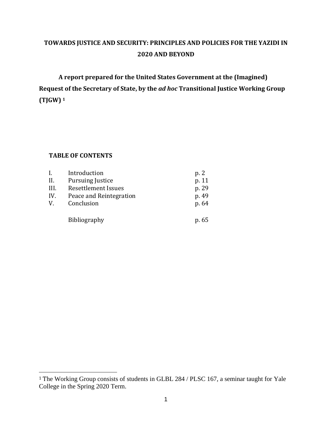# **TOWARDS JUSTICE AND SECURITY: PRINCIPLES AND POLICIES FOR THE YAZIDI IN 2020 AND BEYOND**

**A report prepared for the United States Government at the (Imagined) Request of the Secretary of State, by the** *ad hoc* **Transitional Justice Working Group (TJGW) <sup>1</sup>**

# **TABLE OF CONTENTS**

| I.   | Introduction               |       |
|------|----------------------------|-------|
|      |                            | p. 2  |
| II.  | <b>Pursuing Justice</b>    | p. 11 |
| III. | <b>Resettlement Issues</b> | p. 29 |
| IV.  | Peace and Reintegration    | p. 49 |
| V.   | Conclusion                 | p. 64 |
|      | <b>Bibliography</b>        |       |

<sup>1</sup> The Working Group consists of students in GLBL 284 / PLSC 167, a seminar taught for Yale College in the Spring 2020 Term.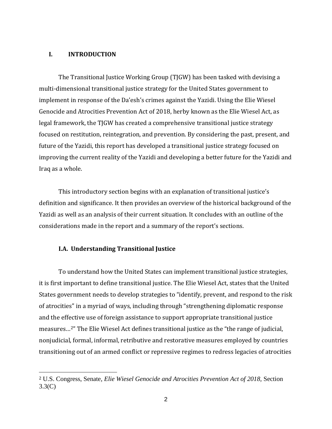## **I. INTRODUCTION**

The Transitional Justice Working Group (TJGW) has been tasked with devising a multi-dimensional transitional justice strategy for the United States government to implement in response of the Da'esh's crimes against the Yazidi. Using the Elie Wiesel Genocide and Atrocities Prevention Act of 2018, herby known as the Elie Wiesel Act, as legal framework, the TJGW has created a comprehensive transitional justice strategy focused on restitution, reintegration, and prevention. By considering the past, present, and future of the Yazidi, this report has developed a transitional justice strategy focused on improving the current reality of the Yazidi and developing a better future for the Yazidi and Iraq as a whole.

This introductory section begins with an explanation of transitional justice's definition and significance. It then provides an overview of the historical background of the Yazidi as well as an analysis of their current situation. It concludes with an outline of the considerations made in the report and a summary of the report's sections.

# **I.A. Understanding Transitional Justice**

To understand how the United States can implement transitional justice strategies, it is first important to define transitional justice. The Elie Wiesel Act, states that the United States government needs to develop strategies to "identify, prevent, and respond to the risk of atrocities" in a myriad of ways, including through "strengthening diplomatic response and the effective use of foreign assistance to support appropriate transitional justice measures…2" The Elie Wiesel Act defines transitional justice as the "the range of judicial, nonjudicial, formal, informal, retributive and restorative measures employed by countries transitioning out of an armed conflict or repressive regimes to redress legacies of atrocities

<sup>2</sup> U.S. Congress, Senate, *Elie Wiesel Genocide and Atrocities Prevention Act of 2018,* Section 3.3(C)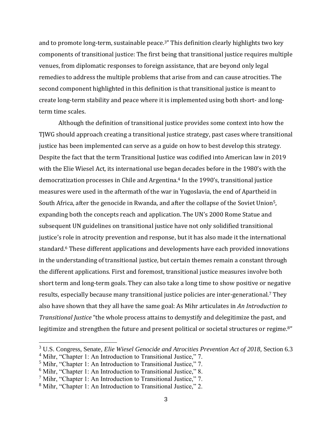and to promote long-term, sustainable peace.3" This definition clearly highlights two key components of transitional justice: The first being that transitional justice requires multiple venues, from diplomatic responses to foreign assistance, that are beyond only legal remedies to address the multiple problems that arise from and can cause atrocities. The second component highlighted in this definition is that transitional justice is meant to create long-term stability and peace where it is implemented using both short- and longterm time scales.

Although the definition of transitional justice provides some context into how the TJWG should approach creating a transitional justice strategy, past cases where transitional justice has been implemented can serve as a guide on how to best develop this strategy. Despite the fact that the term Transitional Justice was codified into American law in 2019 with the Elie Wiesel Act, its international use began decades before in the 1980's with the democratization processes in Chile and Argentina.<sup>4</sup> In the 1990's, transitional justice measures were used in the aftermath of the war in Yugoslavia, the end of Apartheid in South Africa, after the genocide in Rwanda, and after the collapse of the Soviet Union5, expanding both the concepts reach and application. The UN's 2000 Rome Statue and subsequent UN guidelines on transitional justice have not only solidified transitional justice's role in atrocity prevention and response, but it has also made it the international standard.<sup>6</sup> These different applications and developments have each provided innovations in the understanding of transitional justice, but certain themes remain a constant through the different applications. First and foremost, transitional justice measures involve both short term and long-term goals. They can also take a long time to show positive or negative results, especially because many transitional justice policies are inter-generational.<sup>7</sup> They also have shown that they all have the same goal: As Mihr articulates in *An Introduction to Transitional Justice* "the whole process attains to demystify and delegitimize the past, and legitimize and strengthen the future and present political or societal structures or regime.<sup>8"</sup>

<sup>3</sup> U.S. Congress, Senate, *Elie Wiesel Genocide and Atrocities Prevention Act of 2018,* Section 6.3 <sup>4</sup> Mihr, "Chapter 1: An Introduction to Transitional Justice," 7.

<sup>5</sup> Mihr, "Chapter 1: An Introduction to Transitional Justice," 7.

 $6$  Mihr, "Chapter 1: An Introduction to Transitional Justice," 8.

<sup>7</sup> Mihr, "Chapter 1: An Introduction to Transitional Justice," 7.

<sup>8</sup> Mihr, "Chapter 1: An Introduction to Transitional Justice," 2.

<sup>3</sup>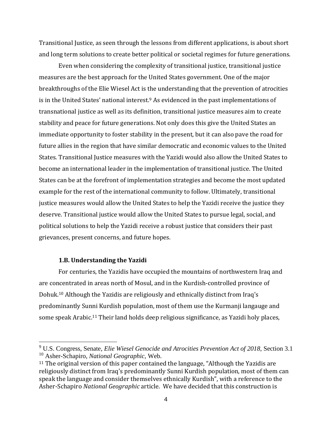Transitional Justice, as seen through the lessons from different applications, is about short and long term solutions to create better political or societal regimes for future generations.

Even when considering the complexity of transitional justice, transitional justice measures are the best approach for the United States government. One of the major breakthroughs of the Elie Wiesel Act is the understanding that the prevention of atrocities is in the United States' national interest.<sup>9</sup> As evidenced in the past implementations of transnational justice as well as its definition, transitional justice measures aim to create stability and peace for future generations. Not only does this give the United States an immediate opportunity to foster stability in the present, but it can also pave the road for future allies in the region that have similar democratic and economic values to the United States. Transitional Justice measures with the Yazidi would also allow the United States to become an international leader in the implementation of transitional justice. The United States can be at the forefront of implementation strategies and become the most updated example for the rest of the international community to follow. Ultimately, transitional justice measures would allow the United States to help the Yazidi receive the justice they deserve. Transitional justice would allow the United States to pursue legal, social, and political solutions to help the Yazidi receive a robust justice that considers their past grievances, present concerns, and future hopes.

### **1.B. Understanding the Yazidi**

For centuries, the Yazidis have occupied the mountains of northwestern Iraq and are concentrated in areas north of Mosul, and in the Kurdish-controlled province of Dohuk.<sup>10</sup> Although the Yazidis are religiously and ethnically distinct from Iraq's predominantly Sunni Kurdish population, most of them use the Kurmanji langauge and some speak Arabic.<sup>11</sup> Their land holds deep religious significance, as Yazidi holy places,

<sup>&</sup>lt;sup>9</sup> U.S. Congress, Senate, *Elie Wiesel Genocide and Atrocities Prevention Act of 2018*, Section 3.1 <sup>10</sup> Asher-Schapiro, *National Geographic,* Web.

<sup>&</sup>lt;sup>11</sup> The original version of this paper contained the language, "Although the Yazidis are religiously distinct from Iraq's predominantly Sunni Kurdish population, most of them can speak the language and consider themselves ethnically Kurdish", with a reference to the Asher-Schapiro *National Geographic* article. We have decided that this construction is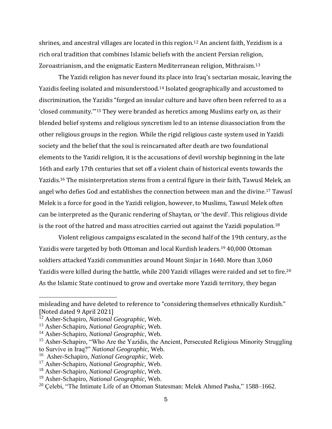shrines, and ancestral villages are located in this region.<sup>12</sup> An ancient faith, Yezidism is a rich oral tradition that combines Islamic beliefs with the ancient Persian religion, Zoroastrianism, and the enigmatic Eastern Mediterranean religion, Mithraism.<sup>13</sup>

The Yazidi religion has never found its place into Iraq's sectarian mosaic, leaving the Yazidis feeling isolated and misunderstood.<sup>14</sup> Isolated geographically and accustomed to discrimination, the Yazidis "forged an insular culture and have often been referred to as a 'closed community.'"<sup>15</sup> They were branded as heretics among Muslims early on, as their blended belief systems and religious syncretism led to an intense disassociation from the other religious groups in the region. While the rigid religious caste system used in Yazidi society and the belief that the soul is reincarnated after death are two foundational elements to the Yazidi religion, it is the accusations of devil worship beginning in the late 16th and early 17th centuries that set off a violent chain of historical events towards the Yazidis.<sup>16</sup> The misinterpretation stems from a central figure in their faith, Tawusî Melek, an angel who defies God and establishes the connection between man and the divine.<sup>17</sup> Tawusî Melek is a force for good in the Yazidi religion, however, to Muslims, Tawusî Melek often can be interpreted as the Quranic rendering of Shaytan, or 'the devil'. This religious divide is the root of the hatred and mass atrocities carried out against the Yazidi population.<sup>18</sup>

Violent religious campaigns escalated in the second half of the 19th century, as the Yazidis were targeted by both Ottoman and local Kurdish leaders.<sup>19</sup> 40,000 Ottoman soldiers attacked Yazidi communities around Mount Sinjar in 1640. More than 3,060 Yazidis were killed during the battle, while 200 Yazidi villages were raided and set to fire.<sup>20</sup> As the Islamic State continued to grow and overtake more Yazidi territory, they began

misleading and have deleted to reference to "considering themselves ethnically Kurdish." [Noted dated 9 April 2021]

<sup>12</sup> Asher-Schapiro, *National Geographic,* Web.

<sup>13</sup> Asher-Schapiro, *National Geographic,* Web.

<sup>14</sup> Asher-Schapiro, *National Geographic,* Web.

<sup>&</sup>lt;sup>15</sup> Asher-Schapiro, "Who Are the Yazidis, the Ancient, Persecuted Religious Minority Struggling

to Survive in Iraq?" *National Geographic,* Web.

<sup>16</sup> Asher-Schapiro, *National Geographic,* Web.

<sup>17</sup> Asher-Schapiro, *National Geographic,* Web.

<sup>18</sup> Asher-Schapiro, *National Geographic,* Web.

<sup>19</sup> Asher-Schapiro, *National Geographic,* Web.

<sup>&</sup>lt;sup>20</sup> Celebi, "The Intimate Life of an Ottoman Statesman: Melek Ahmed Pasha," 1588-1662.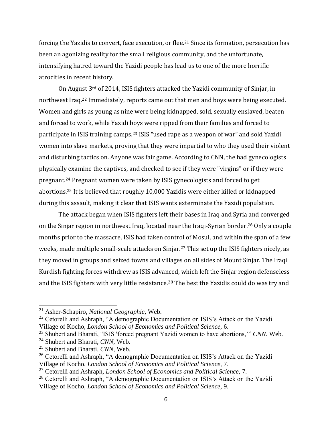forcing the Yazidis to convert, face execution, or flee.<sup>21</sup> Since its formation, persecution has been an agonizing reality for the small religious community, and the unfortunate, intensifying hatred toward the Yazidi people has lead us to one of the more horrific atrocities in recent history.

On August 3rd of 2014, ISIS fighters attacked the Yazidi community of Sinjar, in northwest Iraq.<sup>22</sup> Immediately, reports came out that men and boys were being executed. Women and girls as young as nine were being kidnapped, sold, sexually enslaved, beaten and forced to work, while Yazidi boys were ripped from their families and forced to participate in ISIS training camps.<sup>23</sup> ISIS "used rape as a weapon of war" and sold Yazidi women into slave markets, proving that they were impartial to who they used their violent and disturbing tactics on. Anyone was fair game. According to CNN, the had gynecologists physically examine the captives, and checked to see if they were "virgins" or if they were pregnant.<sup>24</sup> Pregnant women were taken by ISIS gynecologists and forced to get abortions.<sup>25</sup> It is believed that roughly 10,000 Yazidis were either killed or kidnapped during this assault, making it clear that ISIS wants exterminate the Yazidi population.

The attack began when ISIS fighters left their bases in Iraq and Syria and converged on the Sinjar region in northwest Iraq, located near the Iraqi-Syrian border.<sup>26</sup> Only a couple months prior to the massacre, ISIS had taken control of Mosul, and within the span of a few weeks, made multiple small-scale attacks on Sinjar.<sup>27</sup> This set up the ISIS fighters nicely, as they moved in groups and seized towns and villages on all sides of Mount Sinjar. The Iraqi Kurdish fighting forces withdrew as ISIS advanced, which left the Sinjar region defenseless and the ISIS fighters with very little resistance.<sup>28</sup> The best the Yazidis could do was try and

<sup>21</sup> Asher-Schapiro, *National Geographic,* Web.

<sup>&</sup>lt;sup>22</sup> Cetorelli and Ashraph, "A demographic Documentation on ISIS's Attack on the Yazidi Village of Kocho, *London School of Economics and Political Science,* 6.

<sup>&</sup>lt;sup>23</sup> Shubert and Bharati, "ISIS 'forced pregnant Yazidi women to have abortions," *CNN*. Web.

<sup>24</sup> Shubert and Bharati, *CNN,* Web.

<sup>25</sup> Shubert and Bharati, *CNN,* Web.

<sup>&</sup>lt;sup>26</sup> Cetorelli and Ashraph, "A demographic Documentation on ISIS's Attack on the Yazidi Village of Kocho, *London School of Economics and Political Science,* 7.

<sup>27</sup> Cetorelli and Ashraph, *London School of Economics and Political Science,* 7.

<sup>&</sup>lt;sup>28</sup> Cetorelli and Ashraph, "A demographic Documentation on ISIS's Attack on the Yazidi Village of Kocho, *London School of Economics and Political Science,* 9.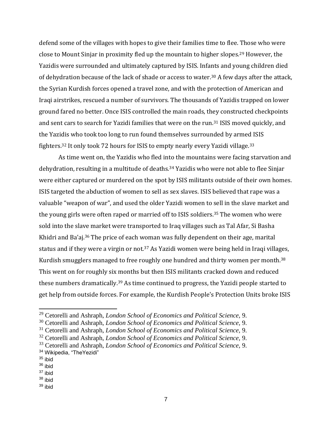defend some of the villages with hopes to give their families time to flee. Those who were close to Mount Sinjar in proximity fled up the mountain to higher slopes.<sup>29</sup> However, the Yazidis were surrounded and ultimately captured by ISIS. Infants and young children died of dehydration because of the lack of shade or access to water.<sup>30</sup> A few days after the attack, the Syrian Kurdish forces opened a travel zone, and with the protection of American and Iraqi airstrikes, rescued a number of survivors. The thousands of Yazidis trapped on lower ground fared no better. Once ISIS controlled the main roads, they constructed checkpoints and sent cars to search for Yazidi families that were on the run.<sup>31</sup> ISIS moved quickly, and the Yazidis who took too long to run found themselves surrounded by armed ISIS fighters.<sup>32</sup> It only took 72 hours for ISIS to empty nearly every Yazidi village.<sup>33</sup>

As time went on, the Yazidis who fled into the mountains were facing starvation and dehydration, resulting in a multitude of deaths.<sup>34</sup> Yazidis who were not able to flee Sinjar were either captured or murdered on the spot by ISIS militants outside of their own homes. ISIS targeted the abduction of women to sell as sex slaves. ISIS believed that rape was a valuable "weapon of war", and used the older Yazidi women to sell in the slave market and the young girls were often raped or married off to ISIS soldiers.<sup>35</sup> The women who were sold into the slave market were transported to Iraq villages such as Tal Afar, Si Basha Khidri and Ba'aj.<sup>36</sup> The price of each woman was fully dependent on their age, marital status and if they were a virgin or not.<sup>37</sup> As Yazidi women were being held in Iraqi villages, Kurdish smugglers managed to free roughly one hundred and thirty women per month.<sup>38</sup> This went on for roughly six months but then ISIS militants cracked down and reduced these numbers dramatically.<sup>39</sup> As time continued to progress, the Yazidi people started to get help from outside forces. For example, the Kurdish People's Protection Units broke ISIS

 $39$  ibid

<sup>29</sup> Cetorelli and Ashraph, *London School of Economics and Political Science,* 9.

<sup>30</sup> Cetorelli and Ashraph, *London School of Economics and Political Science,* 9.

<sup>31</sup> Cetorelli and Ashraph, *London School of Economics and Political Science,* 9.

<sup>32</sup> Cetorelli and Ashraph, *London School of Economics and Political Science,* 9.

<sup>33</sup> Cetorelli and Ashraph, *London School of Economics and Political Science,* 9.

<sup>34</sup> Wikipedia, "TheYezidi"

<sup>35</sup> ibid

 $36$  ibid <sup>37</sup> ibid

<sup>38</sup> ibid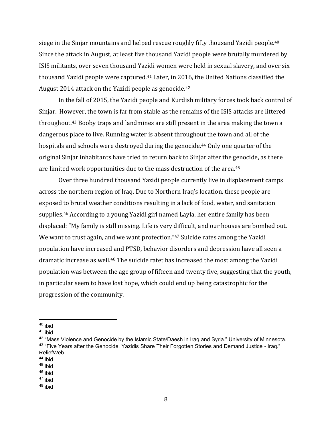siege in the Sinjar mountains and helped rescue roughly fifty thousand Yazidi people.<sup>40</sup> Since the attack in August, at least five thousand Yazidi people were brutally murdered by ISIS militants, over seven thousand Yazidi women were held in sexual slavery, and over six thousand Yazidi people were captured.<sup>41</sup> Later, in 2016, the United Nations classified the August 2014 attack on the Yazidi people as genocide.<sup>42</sup>

In the fall of 2015, the Yazidi people and Kurdish military forces took back control of Sinjar. However, the town is far from stable as the remains of the ISIS attacks are littered throughout.<sup>43</sup> Booby traps and landmines are still present in the area making the town a dangerous place to live. Running water is absent throughout the town and all of the hospitals and schools were destroyed during the genocide.<sup>44</sup> Only one quarter of the original Sinjar inhabitants have tried to return back to Sinjar after the genocide, as there are limited work opportunities due to the mass destruction of the area.<sup>45</sup>

Over three hundred thousand Yazidi people currently live in displacement camps across the northern region of Iraq. Due to Northern Iraq's location, these people are exposed to brutal weather conditions resulting in a lack of food, water, and sanitation supplies.<sup>46</sup> According to a young Yazidi girl named Layla, her entire family has been displaced: "My family is still missing. Life is very difficult, and our houses are bombed out. We want to trust again, and we want protection."<sup>47</sup> Suicide rates among the Yazidi population have increased and PTSD, behavior disorders and depression have all seen a dramatic increase as well.<sup>48</sup> The suicide ratet has increased the most among the Yazidi population was between the age group of fifteen and twenty five, suggesting that the youth, in particular seem to have lost hope, which could end up being catastrophic for the progression of the community.

 $40$  ibid

 $41$  ibid

 $42$  "Mass Violence and Genocide by the Islamic State/Daesh in Iraq and Syria." University of Minnesota. 43 "Five Years after the Genocide, Yazidis Share Their Forgotten Stories and Demand Justice - Iraq." ReliefWeb.

<sup>44</sup> ibid

<sup>45</sup> ibid

<sup>46</sup> ibid

 $47$  ibid

 $48$  ibid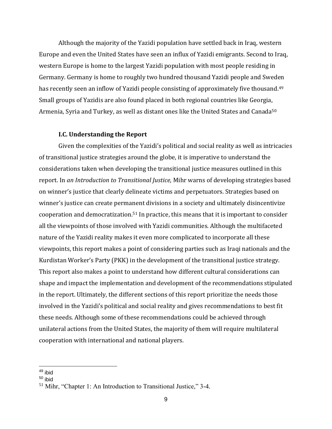Although the majority of the Yazidi population have settled back in Iraq, western Europe and even the United States have seen an influx of Yazidi emigrants. Second to Iraq, western Europe is home to the largest Yazidi population with most people residing in Germany. Germany is home to roughly two hundred thousand Yazidi people and Sweden has recently seen an inflow of Yazidi people consisting of approximately five thousand.<sup>49</sup> Small groups of Yazidis are also found placed in both regional countries like Georgia, Armenia, Syria and Turkey, as well as distant ones like the United States and Canada<sup>50</sup>

## **I.C. Understanding the Report**

Given the complexities of the Yazidi's political and social reality as well as intricacies of transitional justice strategies around the globe, it is imperative to understand the considerations taken when developing the transitional justice measures outlined in this report. In *an Introduction to Transitional Justice,* Mihr warns of developing strategies based on winner's justice that clearly delineate victims and perpetuators. Strategies based on winner's justice can create permanent divisions in a society and ultimately disincentivize cooperation and democratization.<sup>51</sup> In practice, this means that it is important to consider all the viewpoints of those involved with Yazidi communities. Although the multifaceted nature of the Yazidi reality makes it even more complicated to incorporate all these viewpoints, this report makes a point of considering parties such as Iraqi nationals and the Kurdistan Worker's Party (PKK) in the development of the transitional justice strategy. This report also makes a point to understand how different cultural considerations can shape and impact the implementation and development of the recommendations stipulated in the report. Ultimately, the different sections of this report prioritize the needs those involved in the Yazidi's political and social reality and gives recommendations to best fit these needs. Although some of these recommendations could be achieved through unilateral actions from the United States, the majority of them will require multilateral cooperation with international and national players.

<sup>49</sup> ibid

<sup>50</sup> ibid

<sup>51</sup> Mihr, "Chapter 1: An Introduction to Transitional Justice," 3-4.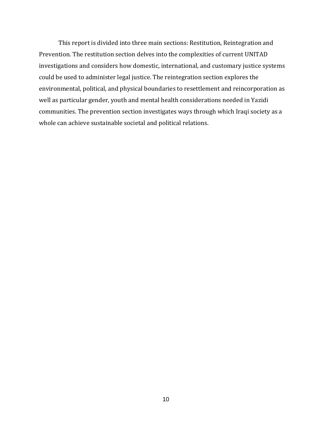This report is divided into three main sections: Restitution, Reintegration and Prevention. The restitution section delves into the complexities of current UNITAD investigations and considers how domestic, international, and customary justice systems could be used to administer legal justice. The reintegration section explores the environmental, political, and physical boundaries to resettlement and reincorporation as well as particular gender, youth and mental health considerations needed in Yazidi communities. The prevention section investigates ways through which Iraqi society as a whole can achieve sustainable societal and political relations.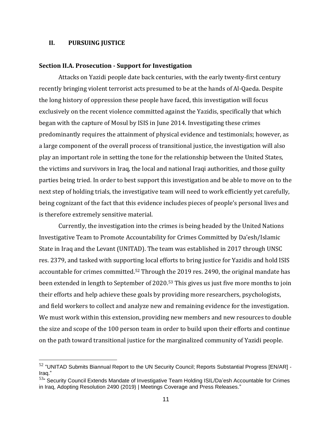# **II. PURSUING JUSTICE**

#### **Section II.A. Prosecution - Support for Investigation**

Attacks on Yazidi people date back centuries, with the early twenty-first century recently bringing violent terrorist acts presumed to be at the hands of Al-Qaeda. Despite the long history of oppression these people have faced, this investigation will focus exclusively on the recent violence committed against the Yazidis, specifically that which began with the capture of Mosul by ISIS in June 2014. Investigating these crimes predominantly requires the attainment of physical evidence and testimonials; however, as a large component of the overall process of transitional justice, the investigation will also play an important role in setting the tone for the relationship between the United States, the victims and survivors in Iraq, the local and national Iraqi authorities, and those guilty parties being tried. In order to best support this investigation and be able to move on to the next step of holding trials, the investigative team will need to work efficiently yet carefully, being cognizant of the fact that this evidence includes pieces of people's personal lives and is therefore extremely sensitive material.

Currently, the investigation into the crimes is being headed by the United Nations Investigative Team to Promote Accountability for Crimes Committed by Da'esh/Islamic State in Iraq and the Levant (UNITAD). The team was established in 2017 through UNSC res. 2379, and tasked with supporting local efforts to bring justice for Yazidis and hold ISIS accountable for crimes committed.<sup>52</sup> Through the 2019 res. 2490, the original mandate has been extended in length to September of 2020.<sup>53</sup> This gives us just five more months to join their efforts and help achieve these goals by providing more researchers, psychologists, and field workers to collect and analyze new and remaining evidence for the investigation. We must work within this extension, providing new members and new resources to double the size and scope of the 100 person team in order to build upon their efforts and continue on the path toward transitional justice for the marginalized community of Yazidi people.

 $52$  "UNITAD Submits Biannual Report to the UN Security Council; Reports Substantial Progress [EN/AR] -Iraq."

<sup>&</sup>lt;sup>53</sup>" Security Council Extends Mandate of Investigative Team Holding ISIL/Da'esh Accountable for Crimes in Iraq, Adopting Resolution 2490 (2019) | Meetings Coverage and Press Releases."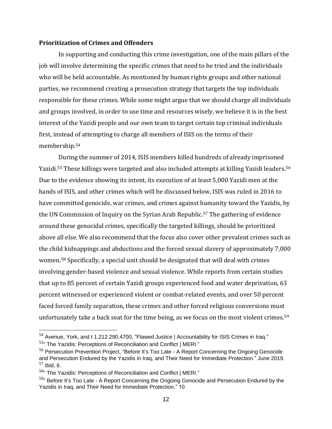# **Prioritization of Crimes and Offenders**

In supporting and conducting this crime investigation, one of the main pillars of the job will involve determining the specific crimes that need to be tried and the individuals who will be held accountable. As mentioned by human rights groups and other national parties, we recommend creating a prosecution strategy that targets the top individuals responsible for these crimes. While some might argue that we should charge all individuals and groups involved, in order to use time and resources wisely, we believe it is in the best interest of the Yazidi people and our own team to target certain top criminal individuals first, instead of attempting to charge all members of ISIS on the terms of their membership.<sup>54</sup>

During the summer of 2014, ISIS members killed hundreds of already imprisoned Yazidi.<sup>55</sup> These killings were targeted and also included attempts at killing Yazidi leaders.<sup>56</sup> Due to the evidence showing its intent, its execution of at least 5,000 Yazidi men at the hands of ISIS, and other crimes which will be discussed below, ISIS was ruled in 2016 to have committed genocide, war crimes, and crimes against humanity toward the Yazidis, by the UN Commission of Inquiry on the Syrian Arab Republic.<sup>57</sup> The gathering of evidence around these genocidal crimes, specifically the targeted killings, should be prioritized above all else. We also recommend that the focus also cover other prevalent crimes such as the child kidnappings and abductions and the forced sexual slavery of approximately 7,000 women.<sup>58</sup> Specifically, a special unit should be designated that will deal with crimes involving gender-based violence and sexual violence. While reports from certain studies that up to 85 percent of certain Yazidi groups experienced food and water deprivation, 63 percent witnessed or experienced violent or combat-related events, and over 50 percent faced forced family separation, these crimes and other forced religious conversions must unfortunately take a back seat for the time being, as we focus on the most violent crimes.<sup>59</sup>

<sup>&</sup>lt;sup>54</sup> Avenue, York, and t 1.212.290.4700, "Flawed Justice | Accountability for ISIS Crimes in Iraq."

<sup>55</sup> " The Yazidis: Perceptions of Reconciliation and Conflict | MERI."

<sup>&</sup>lt;sup>56</sup> Persecution Prevention Project, "Before It's Too Late - A Report Concerning the Ongoing Genocide and Persecution Endured by the Yazidis in Iraq, and Their Need for Immediate Protection." June 2019.  $57$  Ibid, 6.

<sup>58</sup> " The Yazidis: Perceptions of Reconciliation and Conflict | MERI."

<sup>&</sup>lt;sup>59</sup>" Before It's Too Late - A Report Concerning the Ongoing Genocide and Persecution Endured by the Yazidis in Iraq, and Their Need for Immediate Protection." 10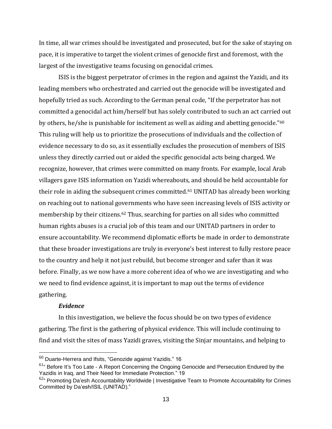In time, all war crimes should be investigated and prosecuted, but for the sake of staying on pace, it is imperative to target the violent crimes of genocide first and foremost, with the largest of the investigative teams focusing on genocidal crimes.

ISIS is the biggest perpetrator of crimes in the region and against the Yazidi, and its leading members who orchestrated and carried out the genocide will be investigated and hopefully tried as such. According to the German penal code, "If the perpetrator has not committed a genocidal act him/herself but has solely contributed to such an act carried out by others, he/she is punishable for incitement as well as aiding and abetting genocide." $60$ This ruling will help us to prioritize the prosecutions of individuals and the collection of evidence necessary to do so, as it essentially excludes the prosecution of members of ISIS unless they directly carried out or aided the specific genocidal acts being charged. We recognize, however, that crimes were committed on many fronts. For example, local Arab villagers gave ISIS information on Yazidi whereabouts, and should be held accountable for their role in aiding the subsequent crimes committed.<sup>61</sup> UNITAD has already been working on reaching out to national governments who have seen increasing levels of ISIS activity or membership by their citizens.<sup>62</sup> Thus, searching for parties on all sides who committed human rights abuses is a crucial job of this team and our UNITAD partners in order to ensure accountability. We recommend diplomatic efforts be made in order to demonstrate that these broader investigations are truly in everyone's best interest to fully restore peace to the country and help it not just rebuild, but become stronger and safer than it was before. Finally, as we now have a more coherent idea of who we are investigating and who we need to find evidence against, it is important to map out the terms of evidence gathering.

## *Evidence*

In this investigation, we believe the focus should be on two types of evidence gathering. The first is the gathering of physical evidence. This will include continuing to find and visit the sites of mass Yazidi graves, visiting the Sinjar mountains, and helping to

 $^{60}$  Duarte-Herrera and Ifsits, "Genozide against Yazidis." 16

<sup>&</sup>lt;sup>61</sup> Before It's Too Late - A Report Concerning the Ongoing Genocide and Persecution Endured by the Yazidis in Iraq, and Their Need for Immediate Protection." 19

 $62<sup>a</sup>$  Promoting Da'esh Accountability Worldwide | Investigative Team to Promote Accountability for Crimes Committed by Da 'esh/ISIL (UNITAD)."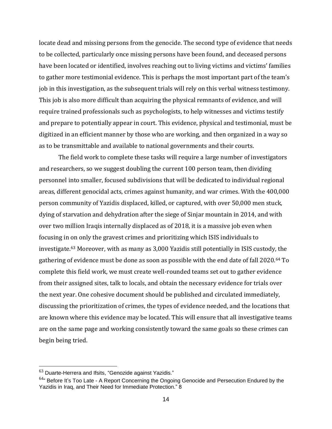locate dead and missing persons from the genocide. The second type of evidence that needs to be collected, particularly once missing persons have been found, and deceased persons have been located or identified, involves reaching out to living victims and victims' families to gather more testimonial evidence. This is perhaps the most important part of the team's job in this investigation, as the subsequent trials will rely on this verbal witness testimony. This job is also more difficult than acquiring the physical remnants of evidence, and will require trained professionals such as psychologists, to help witnesses and victims testify and prepare to potentially appear in court. This evidence, physical and testimonial, must be digitized in an efficient manner by those who are working, and then organized in a way so as to be transmittable and available to national governments and their courts.

The field work to complete these tasks will require a large number of investigators and researchers, so we suggest doubling the current 100 person team, then dividing personnel into smaller, focused subdivisions that will be dedicated to individual regional areas, different genocidal acts, crimes against humanity, and war crimes. With the 400,000 person community of Yazidis displaced, killed, or captured, with over 50,000 men stuck, dying of starvation and dehydration after the siege of Sinjar mountain in 2014, and with over two million Iraqis internally displaced as of 2018, it is a massive job even when focusing in on only the gravest crimes and prioritizing which ISIS individuals to investigate.<sup>63</sup> Moreover, with as many as 3,000 Yazidis still potentially in ISIS custody, the gathering of evidence must be done as soon as possible with the end date of fall 2020.<sup>64</sup> To complete this field work, we must create well-rounded teams set out to gather evidence from their assigned sites, talk to locals, and obtain the necessary evidence for trials over the next year. One cohesive document should be published and circulated immediately, discussing the prioritization of crimes, the types of evidence needed, and the locations that are known where this evidence may be located. This will ensure that all investigative teams are on the same page and working consistently toward the same goals so these crimes can begin being tried.

 $63$  Duarte-Herrera and Ifsits, "Genozide against Yazidis."

 $64$ <sup>a</sup> Before It's Too Late - A Report Concerning the Ongoing Genocide and Persecution Endured by the Yazidis in Iraq, and Their Need for Immediate Protection." 8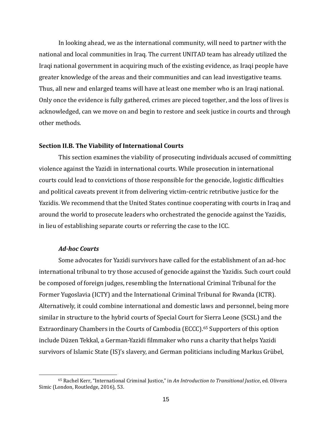In looking ahead, we as the international community, will need to partner with the national and local communities in Iraq. The current UNITAD team has already utilized the Iraqi national government in acquiring much of the existing evidence, as Iraqi people have greater knowledge of the areas and their communities and can lead investigative teams. Thus, all new and enlarged teams will have at least one member who is an Iraqi national. Only once the evidence is fully gathered, crimes are pieced together, and the loss of lives is acknowledged, can we move on and begin to restore and seek justice in courts and through other methods.

#### **Section II.B. The Viability of International Courts**

This section examines the viability of prosecuting individuals accused of committing violence against the Yazidi in international courts. While prosecution in international courts could lead to convictions of those responsible for the genocide, logistic difficulties and political caveats prevent it from delivering victim-centric retributive justice for the Yazidis. We recommend that the United States continue cooperating with courts in Iraq and around the world to prosecute leaders who orchestrated the genocide against the Yazidis, in lieu of establishing separate courts or referring the case to the ICC.

### *Ad-hoc Courts*

Some advocates for Yazidi survivors have called for the establishment of an ad-hoc international tribunal to try those accused of genocide against the Yazidis. Such court could be composed of foreign judges, resembling the International Criminal Tribunal for the Former Yugoslavia (ICTY) and the International Criminal Tribunal for Rwanda (ICTR). Alternatively, it could combine international and domestic laws and personnel, being more similar in structure to the hybrid courts of Special Court for Sierra Leone (SCSL) and the Extraordinary Chambers in the Courts of Cambodia (ECCC).<sup>65</sup> Supporters of this option include Düzen Tekkal, a German-Yazidi filmmaker who runs a charity that helps Yazidi survivors of Islamic State (IS)'s slavery, and German politicians including Markus Grübel,

<sup>65</sup> Rachel Kerr, "International Criminal Justice," in *An Introduction to Transitional Justice*, ed. Olivera Simic (London, Routledge, 2016), 53.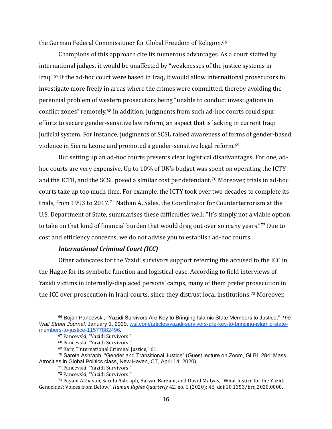the German Federal Commissioner for Global Freedom of Religion.<sup>66</sup>

Champions of this approach cite its numerous advantages. As a court staffed by international judges, it would be unaffected by "weaknesses of the justice systems in Iraq."<sup>67</sup> If the ad-hoc court were based in Iraq, it would allow international prosecutors to investigate more freely in areas where the crimes were committed, thereby avoiding the perennial problem of western prosecutors being "unable to conduct investigations in conflict zones" remotely.<sup>68</sup> In addition, judgments from such ad-hoc courts could spur efforts to secure gender-sensitive law reform, an aspect that is lacking in current Iraqi judicial system. For instance, judgments of SCSL raised awareness of forms of gender-based violence in Sierra Leone and promoted a gender-sensitive legal reform.<sup>69</sup>

But setting up an ad-hoc courts presents clear logistical disadvantages. For one, adhoc courts are very expensive. Up to 10% of UN's budget was spent on operating the ICTY and the ICTR, and the SCSL posed a similar cost per defendant.<sup>70</sup> Moreover, trials in ad-hoc courts take up too much time. For example, the ICTY took over two decades to complete its trials, from 1993 to 2017.<sup>71</sup> Nathan A. Sales, the Coordinator for Counterterrorism at the U.S. Department of State, summarises these difficulties well: "It's simply not a viable option to take on that kind of financial burden that would drag out over so many years."<sup>72</sup> Due to cost and efficiency concerns, we do not advise you to establish ad-hoc courts.

#### *International Criminal Court (ICC)*

Other advocates for the Yazidi survivors support referring the accused to the ICC in the Hague for its symbolic function and logistical ease. According to field interviews of Yazidi victims in internally-displaced persons' camps, many of them prefer prosecution in the ICC over prosecution in Iraqi courts, since they distrust local institutions.<sup>73</sup> Moreover,

<sup>66</sup> Bojan Pancevski, "Yazidi Survivors Are Key to Bringing Islamic State Members to Justice," *The Wall Street Journal,* January 1, 2020, [wsj.com/articles/yazidi-survivors-are-key-to-bringing-islamic-state](https://www.wsj.com/articles/yazidi-survivors-are-key-to-bringing-islamic-state-members-to-justice-11577882496)[members-to-justice-11577882496](https://www.wsj.com/articles/yazidi-survivors-are-key-to-bringing-islamic-state-members-to-justice-11577882496)*.*

<sup>67</sup> Pancevski, "Yazidi Survivors."

<sup>68</sup> Pancevski, "Yazidi Survivors."

<sup>69</sup> Kerr, "International Criminal Justice," 61.

<sup>70</sup> Sareta Ashraph, "Gender and Transitional Justice" (Guest lecture on Zoom, GLBL 284: Mass Atrocities in Global Politics class, New Haven, CT, April 14, 2020).

<sup>71</sup> Pancevski, "Yazidi Survivors."

<sup>72</sup> Pancevski, "Yazidi Survivors."

<sup>73</sup> Payam Akhavan, Sareta Ashraph, Barzan Barzani, and David Matyas, "What Justice for the Yazidi Genocide?: Voices from Below," *Human Rights Quarterly* 42, no. 1 (2020): 46, doi:10.1353/hrq.2020.0000.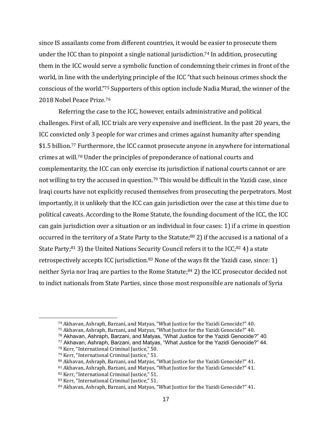since IS assailants come from different countries, it would be easier to prosecute them under the ICC than to pinpoint a single national jurisdiction.<sup>74</sup> In addition, prosecuting them in the ICC would serve a symbolic function of condemning their crimes in front of the world, in line with the underlying principle of the ICC "that such heinous crimes shock the conscious of the world."<sup>75</sup> Supporters of this option include Nadia Murad, the winner of the 2018 Nobel Peace Prize.<sup>76</sup>

Referring the case to the ICC, however, entails administrative and political challenges. First of all, ICC trials are very expensive and inefficient. In the past 20 years, the ICC convicted only 3 people for war crimes and crimes against humanity after spending \$1.5 billion.<sup>77</sup> Furthermore, the ICC cannot prosecute anyone in anywhere for international crimes at will.<sup>78</sup> Under the principles of preponderance of national courts and complementarity, the ICC can only exercise its jurisdiction if national courts cannot or are not willing to try the accused in question.<sup>79</sup> This would be difficult in the Yazidi case, since Iraqi courts have not explicitly recused themselves from prosecuting the perpetrators. Most importantly, it is unlikely that the ICC can gain jurisdiction over the case at this time due to political caveats. According to the Rome Statute, the founding document of the ICC, the ICC can gain jurisdiction over a situation or an individual in four cases: 1) if a crime in question occurred in the territory of a State Party to the Statute;<sup>80</sup> 2) if the accused is a national of a State Party;<sup>81</sup> 3) the United Nations Security Council refers it to the ICC;<sup>82</sup> 4) a state retrospectively accepts ICC jurisdiction.<sup>83</sup> None of the ways fit the Yazidi case, since: 1) neither Syria nor Iraq are parties to the Rome Statute;<sup>84</sup> 2) the ICC prosecutor decided not to indict nationals from State Parties, since those most responsible are nationals of Syria

<sup>74</sup> Akhavan, Ashraph, Barzani, and Matyas, "What Justice for the Yazidi Genocide?" 40.

<sup>75</sup> Akhavan, Ashraph, Barzani, and Matyas, "What Justice for the Yazidi Genocide?" 40.

<sup>76</sup> Akhavan, Ashraph, Barzani, and Matyas, "What Justice for the Yazidi Genocide?" 40.

<sup>77</sup> Akhavan, Ashraph, Barzani, and Matyas, "What Justice for the Yazidi Genocide?" 44.

<sup>78</sup> Kerr, "International Criminal Justice," 50.

<sup>79</sup> Kerr, "International Criminal Justice," 51.

<sup>80</sup> Akhavan, Ashraph, Barzani, and Matyas, "What Justice for the Yazidi Genocide?" 41.

<sup>81</sup> Akhavan, Ashraph, Barzani, and Matyas, "What Justice for the Yazidi Genocide?" 41.

<sup>82</sup> Kerr, "International Criminal Justice," 51.

<sup>83</sup> Kerr, "International Criminal Justice," 51.

<sup>84</sup> Akhavan, Ashraph, Barzani, and Matyas, "What Justice for the Yazidi Genocide?" 41.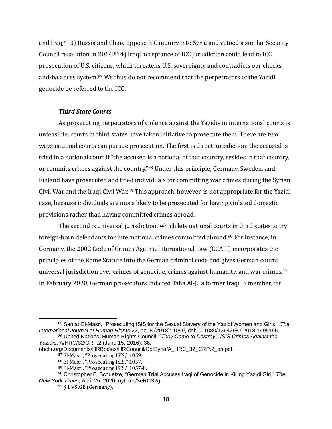and Iraq;<sup>85</sup> 3) Russia and China oppose ICC inquiry into Syria and vetoed a similar Security Council resolution in 2014;<sup>86</sup> 4) Iraqi acceptance of ICC jurisdiction could lead to ICC prosecution of U.S. citizens, which threatens U.S. sovereignty and contradicts our checksand-balances system.<sup>87</sup> We thus do not recommend that the perpetrators of the Yazidi genocide be referred to the ICC.

# *Third State Courts*

As prosecuting perpetrators of violence against the Yazidis in international courts is unfeasible, courts in third states have taken initiative to prosecute them. There are two ways national courts can pursue prosecution. The first is direct jurisdiction: the accused is tried in a national court if "the accused is a national of that country, resides in that country, or commits crimes against the country."<sup>88</sup> Under this principle, Germany, Sweden, and Finland have prosecuted and tried individuals for committing war crimes during the Syrian Civil War and the Iraqi Civil War.<sup>89</sup> This approach, however, is not appropriate for the Yazidi case, because individuals are more likely to be prosecuted for having violated domestic provisions rather than having committed crimes abroad.

The second is universal jurisdiction, which lets national courts in third states to try foreign-born defendants for international crimes committed abroad.<sup>90</sup> For instance, in Germany, the 2002 Code of Crimes Against International Law (CCAIL) incorporates the principles of the Rome Statute into the German criminal code and gives German courts universal jurisdiction over crimes of genocide, crimes against humanity, and war crimes.<sup>91</sup> In February 2020, German prosecutors indicted Taha Al-J., a former Iraqi IS member, for

<sup>85</sup> Samar El-Masri, "Prosecuting ISIS for the Sexual Slavery of the Yazidi Women and Girls," *The International Journal of Human Rights* 22, no. 8 (2018): 1059, doi:10.1080/13642987.2018.1495195.

<sup>86</sup> United Nations, Human Rights Council, *"They Came to Destroy": ISIS Crimes Against the Yazidis*, A/HRC/32/CRP.2 (June 15, 2016): 36,

ohchr.org/Documents/HRBodies/HRCouncil/CoISyria/A\_HRC\_32\_CRP.2\_en.pdf.

<sup>87</sup> El-Masri, "Prosecuting ISIS," 1059.

<sup>88</sup> El-Masri, "Prosecuting ISIS," 1057. <sup>89</sup> El-Masri, "Prosecuting ISIS," 1057-8.

<sup>90</sup> Christopher F. Schuetze, "German Trial Accuses Iraqi of Genocide in Killing Yazidi Girl," *The* 

*New York Times*, April 25, 2020, nyti.ms/3eRCS2g.

<sup>91</sup> § 1 VStGB (Germany).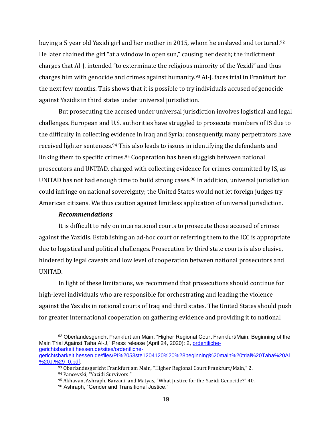buying a 5 year old Yazidi girl and her mother in 2015, whom he enslaved and tortured.<sup>92</sup> He later chained the girl "at a window in open sun," causing her death; the indictment charges that Al-J. intended "to exterminate the religious minority of the Yezidi" and thus charges him with genocide and crimes against humanity.<sup>93</sup> Al-J. faces trial in Frankfurt for the next few months. This shows that it is possible to try individuals accused of genocide against Yazidis in third states under universal jurisdiction.

But prosecuting the accused under universal jurisdiction involves logistical and legal challenges. European and U.S. authorities have struggled to prosecute members of IS due to the difficulty in collecting evidence in Iraq and Syria; consequently, many perpetrators have received lighter sentences.<sup>94</sup> This also leads to issues in identifying the defendants and linking them to specific crimes.<sup>95</sup> Cooperation has been sluggish between national prosecutors and UNITAD, charged with collecting evidence for crimes committed by IS, as UNITAD has not had enough time to build strong cases.<sup>96</sup> In addition, universal jurisdiction could infringe on national sovereignty; the United States would not let foreign judges try American citizens. We thus caution against limitless application of universal jurisdiction.

#### *Recommendations*

It is difficult to rely on international courts to prosecute those accused of crimes against the Yazidis. Establishing an ad-hoc court or referring them to the ICC is appropriate due to logistical and political challenges. Prosecution by third state courts is also elusive, hindered by legal caveats and low level of cooperation between national prosecutors and UNITAD.

In light of these limitations, we recommend that prosecutions should continue for high-level individuals who are responsible for orchestrating and leading the violence against the Yazidis in national courts of Iraq and third states. The United States should push for greater international cooperation on gathering evidence and providing it to national

<sup>92</sup> Oberlandesgericht Frankfurt am Main, "Higher Regional Court Frankfurt/Main: Beginning of the Main Trial Against Taha Al-J," Press release (April 24, 2020): 2, [ordentliche](https://ordentliche-gerichtsbarkeit.hessen.de/sites/ordentliche-gerichtsbarkeit.hessen.de/files/PI%2053ste1204120%20%28beginning%20main%20trial%20Taha%20Al%20J.%29_0.pdf)[gerichtsbarkeit.hessen.de/sites/ordentliche](https://ordentliche-gerichtsbarkeit.hessen.de/sites/ordentliche-gerichtsbarkeit.hessen.de/files/PI%2053ste1204120%20%28beginning%20main%20trial%20Taha%20Al%20J.%29_0.pdf)[gerichtsbarkeit.hessen.de/files/PI%2053ste1204120%20%28beginning%20main%20trial%20Taha%20Al](https://ordentliche-gerichtsbarkeit.hessen.de/sites/ordentliche-gerichtsbarkeit.hessen.de/files/PI%2053ste1204120%20%28beginning%20main%20trial%20Taha%20Al%20J.%29_0.pdf)

[<sup>%20</sup>J.%29\\_0.pdf.](https://ordentliche-gerichtsbarkeit.hessen.de/sites/ordentliche-gerichtsbarkeit.hessen.de/files/PI%2053ste1204120%20%28beginning%20main%20trial%20Taha%20Al%20J.%29_0.pdf)

<sup>93</sup> Oberlandesgericht Frankfurt am Main, "Higher Regional Court Frankfurt/Main," 2.

<sup>94</sup> Pancevski, "Yazidi Survivors."

<sup>95</sup> Akhavan, Ashraph, Barzani, and Matyas, "What Justice for the Yazidi Genocide?" 40.

<sup>96</sup> Ashraph, "Gender and Transitional Justice."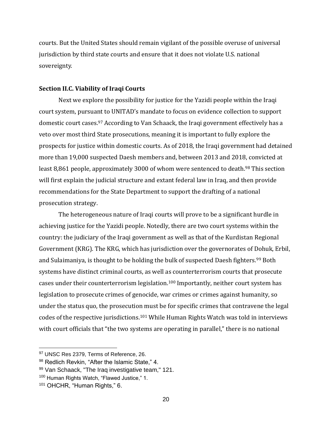courts. But the United States should remain vigilant of the possible overuse of universal jurisdiction by third state courts and ensure that it does not violate U.S. national sovereignty.

## **Section II.C. Viability of Iraqi Courts**

Next we explore the possibility for justice for the Yazidi people within the Iraqi court system, pursuant to UNITAD's mandate to focus on evidence collection to support domestic court cases.<sup>97</sup> According to Van Schaack, the Iraqi government effectively has a veto over most third State prosecutions, meaning it is important to fully explore the prospects for justice within domestic courts. As of 2018, the Iraqi government had detained more than 19,000 suspected Daesh members and, between 2013 and 2018, convicted at least 8,861 people, approximately 3000 of whom were sentenced to death.<sup>98</sup> This section will first explain the judicial structure and extant federal law in Iraq, and then provide recommendations for the State Department to support the drafting of a national prosecution strategy.

The heterogeneous nature of Iraqi courts will prove to be a significant hurdle in achieving justice for the Yazidi people. Notedly, there are two court systems within the country: the judiciary of the Iraqi government as well as that of the Kurdistan Regional Government (KRG). The KRG, which has jurisdiction over the governorates of Dohuk, Erbil, and Sulaimaniya, is thought to be holding the bulk of suspected Daesh fighters.<sup>99</sup> Both systems have distinct criminal courts, as well as counterterrorism courts that prosecute cases under their counterterrorism legislation.<sup>100</sup> Importantly, neither court system has legislation to prosecute crimes of genocide, war crimes or crimes against humanity, so under the status quo, the prosecution must be for specific crimes that contravene the legal codes of the respective jurisdictions.<sup>101</sup> While Human Rights Watch was told in interviews with court officials that "the two systems are operating in parallel," there is no national

<sup>&</sup>lt;sup>97</sup> UNSC Res 2379, Terms of Reference, 26.

<sup>98</sup> Redlich Revkin, "After the Islamic State," 4.

<sup>99</sup> Van Schaack, "The Iraq investigative team," 121.

<sup>100</sup> Human Rights Watch, "Flawed Justice," 1.

<sup>101</sup> OHCHR, "Human Rights," 6.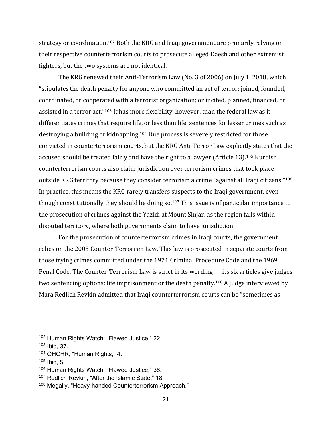strategy or coordination.<sup>102</sup> Both the KRG and Iraqi government are primarily relying on their respective counterterrorism courts to prosecute alleged Daesh and other extremist fighters, but the two systems are not identical.

The KRG renewed their Anti-Terrorism Law (No. 3 of 2006) on July 1, 2018, which "stipulates the death penalty for anyone who committed an act of terror; joined, founded, coordinated, or cooperated with a terrorist organization; or incited, planned, financed, or assisted in a terror act."<sup>103</sup> It has more flexibility, however, than the federal law as it differentiates crimes that require life, or less than life, sentences for lesser crimes such as destroying a building or kidnapping.<sup>104</sup> Due process is severely restricted for those convicted in counterterrorism courts, but the KRG Anti-Terror Law explicitly states that the accused should be treated fairly and have the right to a lawyer (Article 13).<sup>105</sup> Kurdish counterterrorism courts also claim jurisdiction over terrorism crimes that took place outside KRG territory because they consider terrorism a crime "against all Iraqi citizens."<sup>106</sup> In practice, this means the KRG rarely transfers suspects to the Iraqi government, even though constitutionally they should be doing so.<sup>107</sup> This issue is of particular importance to the prosecution of crimes against the Yazidi at Mount Sinjar, as the region falls within disputed territory, where both governments claim to have jurisdiction.

For the prosecution of counterterrorism crimes in Iraqi courts, the government relies on the 2005 Counter-Terrorism Law. This law is prosecuted in separate courts from those trying crimes committed under the 1971 Criminal Procedure Code and the 1969 Penal Code. The Counter-Terrorism Law is strict in its wording — its six articles give judges two sentencing options: life imprisonment or the death penalty.<sup>108</sup> A judge interviewed by Mara Redlich Revkin admitted that Iraqi counterterrorism courts can be "sometimes as

<sup>102</sup> Human Rights Watch, "Flawed Justice," 22.

<sup>103</sup> Ibid, 37.

<sup>104</sup> OHCHR, "Human Rights," 4.

 $105$  Ibid, 5.

<sup>106</sup> Human Rights Watch, "Flawed Justice," 38.

<sup>&</sup>lt;sup>107</sup> Redlich Revkin, "After the Islamic State," 18.

<sup>&</sup>lt;sup>108</sup> Megally, "Heavy-handed Counterterrorism Approach."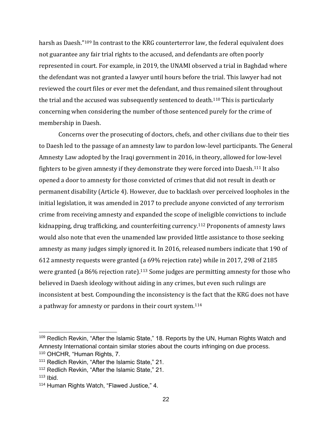harsh as Daesh."<sup>109</sup> In contrast to the KRG counterterror law, the federal equivalent does not guarantee any fair trial rights to the accused, and defendants are often poorly represented in court. For example, in 2019, the UNAMI observed a trial in Baghdad where the defendant was not granted a lawyer until hours before the trial. This lawyer had not reviewed the court files or ever met the defendant, and thus remained silent throughout the trial and the accused was subsequently sentenced to death.<sup>110</sup> This is particularly concerning when considering the number of those sentenced purely for the crime of membership in Daesh.

Concerns over the prosecuting of doctors, chefs, and other civilians due to their ties to Daesh led to the passage of an amnesty law to pardon low-level participants. The General Amnesty Law adopted by the Iraqi government in 2016, in theory, allowed for low-level fighters to be given amnesty if they demonstrate they were forced into Daesh.<sup>111</sup> It also opened a door to amnesty for those convicted of crimes that did not result in death or permanent disability (Article 4). However, due to backlash over perceived loopholes in the initial legislation, it was amended in 2017 to preclude anyone convicted of any terrorism crime from receiving amnesty and expanded the scope of ineligible convictions to include kidnapping, drug trafficking, and counterfeiting currency.<sup>112</sup> Proponents of amnesty laws would also note that even the unamended law provided little assistance to those seeking amnesty as many judges simply ignored it. In 2016, released numbers indicate that 190 of 612 amnesty requests were granted (a 69% rejection rate) while in 2017, 298 of 2185 were granted (a 86% rejection rate).<sup>113</sup> Some judges are permitting amnesty for those who believed in Daesh ideology without aiding in any crimes, but even such rulings are inconsistent at best. Compounding the inconsistency is the fact that the KRG does not have a pathway for amnesty or pardons in their court system.<sup>114</sup>

<sup>&</sup>lt;sup>109</sup> Redlich Revkin, "After the Islamic State," 18. Reports by the UN, Human Rights Watch and Amnesty International contain similar stories about the courts infringing on due process. <sup>110</sup> OHCHR, "Human Rights, 7.

<sup>&</sup>lt;sup>111</sup> Redlich Revkin, "After the Islamic State," 21.

<sup>&</sup>lt;sup>112</sup> Redlich Revkin, "After the Islamic State," 21.

 $113$  Ibid.

<sup>114</sup> Human Rights Watch, "Flawed Justice," 4.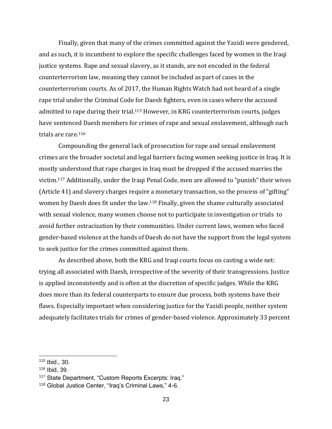Finally, given that many of the crimes committed against the Yazidi were gendered, and as such, it is incumbent to explore the specific challenges faced by women in the Iraqi justice systems. Rape and sexual slavery, as it stands, are not encoded in the federal counterterrorism law, meaning they cannot be included as part of cases in the counterterrorism courts. As of 2017, the Human Rights Watch had not heard of a single rape trial under the Criminal Code for Daesh fighters, even in cases where the accused admitted to rape during their trial.<sup>115</sup> However, in KRG counterterrorism courts, judges have sentenced Daesh members for crimes of rape and sexual enslavement, although such trials are rare.<sup>116</sup>

Compounding the general lack of prosecution for rape and sexual enslavement crimes are the broader societal and legal barriers facing women seeking justice in Iraq. It is mostly understood that rape charges in Iraq must be dropped if the accused marries the victim.<sup>117</sup> Additionally, under the Iraqi Penal Code, men are allowed to "punish" their wives (Article 41) and slavery charges require a monetary transaction, so the process of "gifting" women by Daesh does fit under the law.<sup>118</sup> Finally, given the shame culturally associated with sexual violence, many women choose not to participate in investigation or trials to avoid further ostracization by their communities. Under current laws, women who faced gender-based violence at the hands of Daesh do not have the support from the legal system to seek justice for the crimes committed against them.

As described above, both the KRG and Iraqi courts focus on casting a wide net: trying all associated with Daesh, irrespective of the severity of their transgressions. Justice is applied inconsistently and is often at the discretion of specific judges. While the KRG does more than its federal counterparts to ensure due process, both systems have their flaws. Especially important when considering justice for the Yazidi people, neither system adequately facilitates trials for crimes of gender-based violence. Approximately 33 percent

<sup>115</sup> Ibid., 30.

<sup>116</sup> Ibid, 39.

<sup>117</sup> State Department, "Custom Reports Excerpts: Iraq."

<sup>118</sup> Global Justice Center, "Iraq's Criminal Laws," 4-6.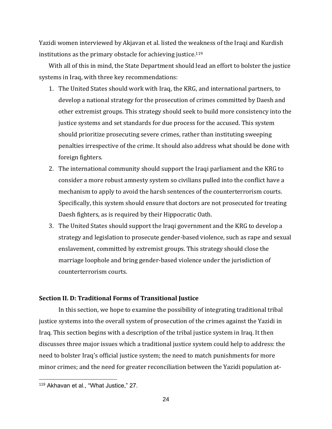Yazidi women interviewed by Akjavan et al. listed the weakness of the Iraqi and Kurdish institutions as the primary obstacle for achieving justice.<sup>119</sup>

With all of this in mind, the State Department should lead an effort to bolster the justice systems in Iraq, with three key recommendations:

- 1. The United States should work with Iraq, the KRG, and international partners, to develop a national strategy for the prosecution of crimes committed by Daesh and other extremist groups. This strategy should seek to build more consistency into the justice systems and set standards for due process for the accused. This system should prioritize prosecuting severe crimes, rather than instituting sweeping penalties irrespective of the crime. It should also address what should be done with foreign fighters.
- 2. The international community should support the Iraqi parliament and the KRG to consider a more robust amnesty system so civilians pulled into the conflict have a mechanism to apply to avoid the harsh sentences of the counterterrorism courts. Specifically, this system should ensure that doctors are not prosecuted for treating Daesh fighters, as is required by their Hippocratic Oath.
- 3. The United States should support the Iraqi government and the KRG to develop a strategy and legislation to prosecute gender-based violence, such as rape and sexual enslavement, committed by extremist groups. This strategy should close the marriage loophole and bring gender-based violence under the jurisdiction of counterterrorism courts.

### **Section II. D: Traditional Forms of Transitional Justice**

In this section, we hope to examine the possibility of integrating traditional tribal justice systems into the overall system of prosecution of the crimes against the Yazidi in Iraq. This section begins with a description of the tribal justice system in Iraq. It then discusses three major issues which a traditional justice system could help to address: the need to bolster Iraq's official justice system; the need to match punishments for more minor crimes; and the need for greater reconciliation between the Yazidi population at-

<sup>119</sup> Akhavan et al., "What Justice," 27.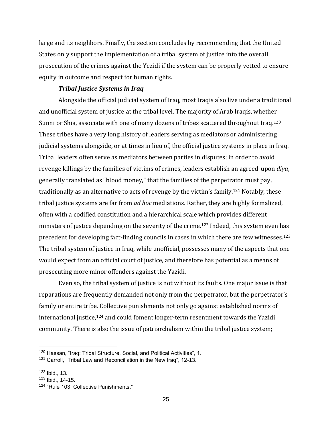large and its neighbors. Finally, the section concludes by recommending that the United States only support the implementation of a tribal system of justice into the overall prosecution of the crimes against the Yezidi if the system can be properly vetted to ensure equity in outcome and respect for human rights.

## *Tribal Justice Systems in Iraq*

Alongside the official judicial system of Iraq, most Iraqis also live under a traditional and unofficial system of justice at the tribal level. The majority of Arab Iraqis, whether Sunni or Shia, associate with one of many dozens of tribes scattered throughout Iraq.<sup>120</sup> These tribes have a very long history of leaders serving as mediators or administering judicial systems alongside, or at times in lieu of, the official justice systems in place in Iraq. Tribal leaders often serve as mediators between parties in disputes; in order to avoid revenge killings by the families of victims of crimes, leaders establish an agreed-upon *diya*, generally translated as "blood money," that the families of the perpetrator must pay, traditionally as an alternative to acts of revenge by the victim's family.<sup>121</sup> Notably, these tribal justice systems are far from *ad hoc* mediations. Rather, they are highly formalized, often with a codified constitution and a hierarchical scale which provides different ministers of justice depending on the severity of the crime.<sup>122</sup> Indeed, this system even has precedent for developing fact-finding councils in cases in which there are few witnesses.<sup>123</sup> The tribal system of justice in Iraq, while unofficial, possesses many of the aspects that one would expect from an official court of justice, and therefore has potential as a means of prosecuting more minor offenders against the Yazidi.

Even so, the tribal system of justice is not without its faults. One major issue is that reparations are frequently demanded not only from the perpetrator, but the perpetrator's family or entire tribe. Collective punishments not only go against established norms of international justice, $124$  and could foment longer-term resentment towards the Yazidi community. There is also the issue of patriarchalism within the tribal justice system;

<sup>120</sup> Hassan, "Iraq: Tribal Structure, Social, and Political Activities", 1.

 $121$  Carroll, "Tribal Law and Reconciliation in the New Iraq", 12-13.

<sup>122</sup> Ibid., 13.

 $123$  Ibid., 14-15.

<sup>124 &</sup>quot;Rule 103: Collective Punishments."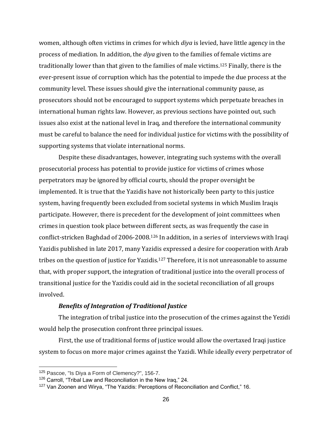women, although often victims in crimes for which *diya* is levied, have little agency in the process of mediation. In addition, the *diya* given to the families of female victims are traditionally lower than that given to the families of male victims.<sup>125</sup> Finally, there is the ever-present issue of corruption which has the potential to impede the due process at the community level. These issues should give the international community pause, as prosecutors should not be encouraged to support systems which perpetuate breaches in international human rights law. However, as previous sections have pointed out, such issues also exist at the national level in Iraq, and therefore the international community must be careful to balance the need for individual justice for victims with the possibility of supporting systems that violate international norms.

Despite these disadvantages, however, integrating such systems with the overall prosecutorial process has potential to provide justice for victims of crimes whose perpetrators may be ignored by official courts, should the proper oversight be implemented. It is true that the Yazidis have not historically been party to this justice system, having frequently been excluded from societal systems in which Muslim Iraqis participate. However, there is precedent for the development of joint committees when crimes in question took place between different sects, as was frequently the case in conflict-stricken Baghdad of 2006-2008.<sup>126</sup> In addition, in a series of interviews with Iraqi Yazidis published in late 2017, many Yazidis expressed a desire for cooperation with Arab tribes on the question of justice for Yazidis.<sup>127</sup> Therefore, it is not unreasonable to assume that, with proper support, the integration of traditional justice into the overall process of transitional justice for the Yazidis could aid in the societal reconciliation of all groups involved.

### *Benefits of Integration of Traditional Justice*

The integration of tribal justice into the prosecution of the crimes against the Yezidi would help the prosecution confront three principal issues.

First, the use of traditional forms of justice would allow the overtaxed Iraqi justice system to focus on more major crimes against the Yazidi. While ideally every perpetrator of

<sup>125</sup> Pascoe, "Is Diya a Form of Clemency?", 156-7.

<sup>126</sup> Carroll, "Tribal Law and Reconciliation in the New Iraq," 24.

 $127$  Van Zoonen and Wirya, "The Yazidis: Perceptions of Reconciliation and Conflict," 16.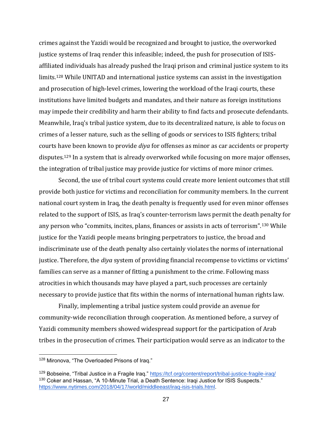crimes against the Yazidi would be recognized and brought to justice, the overworked justice systems of Iraq render this infeasible; indeed, the push for prosecution of ISISaffiliated individuals has already pushed the Iraqi prison and criminal justice system to its limits.<sup>128</sup> While UNITAD and international justice systems can assist in the investigation and prosecution of high-level crimes, lowering the workload of the Iraqi courts, these institutions have limited budgets and mandates, and their nature as foreign institutions may impede their credibility and harm their ability to find facts and prosecute defendants. Meanwhile, Iraq's tribal justice system, due to its decentralized nature, is able to focus on crimes of a lesser nature, such as the selling of goods or services to ISIS fighters; tribal courts have been known to provide *diya* for offenses as minor as car accidents or property disputes.<sup>129</sup> In a system that is already overworked while focusing on more major offenses, the integration of tribal justice may provide justice for victims of more minor crimes.

Second, the use of tribal court systems could create more lenient outcomes that still provide both justice for victims and reconciliation for community members. In the current national court system in Iraq, the death penalty is frequently used for even minor offenses related to the support of ISIS, as Iraq's counter-terrorism laws permit the death penalty for any person who "commits, incites, plans, finances or assists in acts of terrorism".<sup>130</sup> While justice for the Yazidi people means bringing perpetrators to justice, the broad and indiscriminate use of the death penalty also certainly violates the norms of international justice. Therefore, the *diya* system of providing financial recompense to victims or victims' families can serve as a manner of fitting a punishment to the crime. Following mass atrocities in which thousands may have played a part, such processes are certainly necessary to provide justice that fits within the norms of international human rights law.

Finally, implementing a tribal justice system could provide an avenue for community-wide reconciliation through cooperation. As mentioned before, a survey of Yazidi community members showed widespread support for the participation of Arab tribes in the prosecution of crimes. Their participation would serve as an indicator to the

<sup>128</sup> Mironova, "The Overloaded Prisons of Iraq."

<sup>129</sup> Bobseine, "Tribal Justice in a Fragile Iraq."<https://tcf.org/content/report/tribal-justice-fragile-iraq/> <sup>130</sup> Coker and Hassan, "A 10-Minute Trial, a Death Sentence: Iraqi Justice for ISIS Suspects." [https://www.nytimes.com/2018/04/17/world/middleeast/iraq-isis-trials.html.](https://www.nytimes.com/2018/04/17/world/middleeast/iraq-isis-trials.html)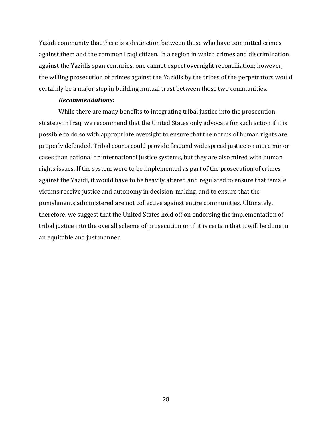Yazidi community that there is a distinction between those who have committed crimes against them and the common Iraqi citizen. In a region in which crimes and discrimination against the Yazidis span centuries, one cannot expect overnight reconciliation; however, the willing prosecution of crimes against the Yazidis by the tribes of the perpetrators would certainly be a major step in building mutual trust between these two communities.

#### *Recommendations:*

While there are many benefits to integrating tribal justice into the prosecution strategy in Iraq, we recommend that the United States only advocate for such action if it is possible to do so with appropriate oversight to ensure that the norms of human rights are properly defended. Tribal courts could provide fast and widespread justice on more minor cases than national or international justice systems, but they are also mired with human rights issues. If the system were to be implemented as part of the prosecution of crimes against the Yazidi, it would have to be heavily altered and regulated to ensure that female victims receive justice and autonomy in decision-making, and to ensure that the punishments administered are not collective against entire communities. Ultimately, therefore, we suggest that the United States hold off on endorsing the implementation of tribal justice into the overall scheme of prosecution until it is certain that it will be done in an equitable and just manner.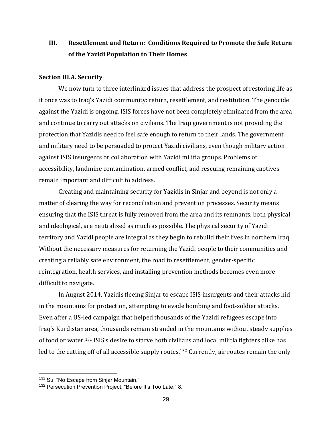# **III. Resettlement and Return: Conditions Required to Promote the Safe Return of the Yazidi Population to Their Homes**

### **Section III.A. Security**

We now turn to three interlinked issues that address the prospect of restoring life as it once was to Iraq's Yazidi community: return, resettlement, and restitution. The genocide against the Yazidi is ongoing. ISIS forces have not been completely eliminated from the area and continue to carry out attacks on civilians. The Iraqi government is not providing the protection that Yazidis need to feel safe enough to return to their lands. The government and military need to be persuaded to protect Yazidi civilians, even though military action against ISIS insurgents or collaboration with Yazidi militia groups. Problems of accessibility, landmine contamination, armed conflict, and rescuing remaining captives remain important and difficult to address.

Creating and maintaining security for Yazidis in Sinjar and beyond is not only a matter of clearing the way for reconciliation and prevention processes. Security means ensuring that the ISIS threat is fully removed from the area and its remnants, both physical and ideological, are neutralized as much as possible. The physical security of Yazidi territory and Yazidi people are integral as they begin to rebuild their lives in northern Iraq. Without the necessary measures for returning the Yazidi people to their communities and creating a reliably safe environment, the road to resettlement, gender-specific reintegration, health services, and installing prevention methods becomes even more difficult to navigate.

In August 2014, Yazidis fleeing Sinjar to escape ISIS insurgents and their attacks hid in the mountains for protection, attempting to evade bombing and foot-soldier attacks. Even after a US-led campaign that helped thousands of the Yazidi refugees escape into Iraq's Kurdistan area, thousands remain stranded in the mountains without steady supplies of food or water.<sup>131</sup> ISIS's desire to starve both civilians and local militia fighters alike has led to the cutting off of all accessible supply routes.<sup>132</sup> Currently, air routes remain the only

<sup>131</sup> Su, "No Escape from Sinjar Mountain."

<sup>&</sup>lt;sup>132</sup> Persecution Prevention Project, "Before It's Too Late," 8.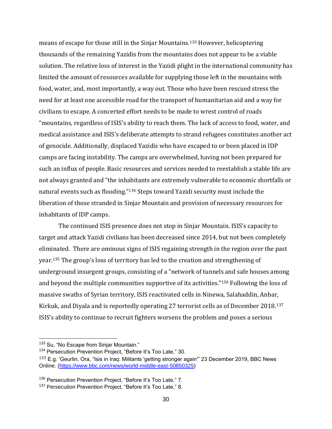means of escape for those still in the Sinjar Mountains.<sup>133</sup> However, helicoptering thousands of the remaining Yazidis from the mountains does not appear to be a viable solution. The relative loss of interest in the Yazidi plight in the international community has limited the amount of resources available for supplying those left in the mountains with food, water, and, most importantly, a way out. Those who have been rescued stress the need for at least one accessible road for the transport of humanitarian aid and a way for civilians to escape. A concerted effort needs to be made to wrest control of roads "mountains, regardless of ISIS's ability to reach them. The lack of access to food, water, and medical assistance and ISIS's deliberate attempts to strand refugees constitutes another act of genocide. Additionally, displaced Yazidis who have escaped to or been placed in IDP camps are facing instability. The camps are overwhelmed, having not been prepared for such an influx of people. Basic resources and services needed to reestablish a stable life are not always granted and "the inhabitants are extremely vulnerable to economic shortfalls or natural events such as flooding."<sup>134</sup> Steps toward Yazidi security must include the liberation of those stranded in Sinjar Mountain and provision of necessary resources for inhabitants of IDP camps.

The continued ISIS presence does not stop in Sinjar Mountain. ISIS's capacity to target and attack Yazidi civilians has been decreased since 2014, but not been completely eliminated. There are ominous signs of ISIS regaining strength in the region over the past year. <sup>135</sup> The group's loss of territory has led to the creation and strengthening of underground insurgent groups, consisting of a "network of tunnels and safe houses among and beyond the multiple communities supportive of its activities."<sup>136</sup> Following the loss of massive swaths of Syrian territory, ISIS reactivated cells in Ninewa, Salahaddin, Anbar, Kirkuk, and Diyala and is reportedly operating 27 terrorist cells as of December 2018.<sup>137</sup> ISIS's ability to continue to recruit fighters worsens the problem and poses a serious

<sup>&</sup>lt;sup>133</sup> Su, "No Escape from Sinjar Mountain."

<sup>&</sup>lt;sup>134</sup> Persecution Prevention Project, "Before It's Too Late," 30.

<sup>135</sup> E.a. 'Geurlin, Ora, "Isis in Iraq: Militants 'getting stronger again'" 23 December 2019, BBC News Online. [\(https://www.bbc.com/news/world-middle-east-50850325\)](https://www.bbc.com/news/world-middle-east-50850325)

<sup>136</sup> Persecution Prevention Project, "Before It's Too Late," 7.

<sup>137</sup> Persecution Prevention Project, "Before It's Too Late," 8.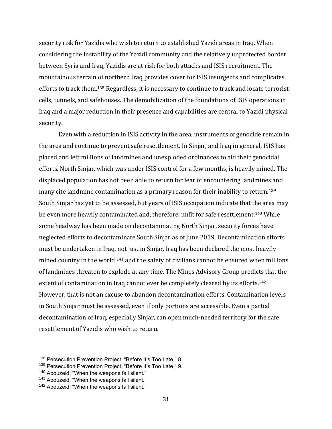security risk for Yazidis who wish to return to established Yazidi areas in Iraq. When considering the instability of the Yazidi community and the relatively unprotected border between Syria and Iraq, Yazidis are at risk for both attacks and ISIS recruitment. The mountainous terrain of northern Iraq provides cover for ISIS insurgents and complicates efforts to track them.<sup>138</sup> Regardless, it is necessary to continue to track and locate terrorist cells, tunnels, and safehouses. The demobilization of the foundations of ISIS operations in Iraq and a major reduction in their presence and capabilities are central to Yazidi physical security.

Even with a reduction in ISIS activity in the area, instruments of genocide remain in the area and continue to prevent safe resettlement. In Sinjar, and Iraq in general, ISIS has placed and left millions of landmines and unexploded ordinances to aid their genocidal efforts. North Sinjar, which was under ISIS control for a few months, is heavily mined. The displaced population has not been able to return for fear of encountering landmines and many cite landmine contamination as a primary reason for their inability to return.<sup>139</sup> South Sinjar has yet to be assessed, but years of ISIS occupation indicate that the area may be even more heavily contaminated and, therefore, unfit for safe resettlement.<sup>140</sup> While some headway has been made on decontaminating North Sinjar, security forces have neglected efforts to decontaminate South Sinjar as of June 2019. Decontamination efforts must be undertaken in Iraq, not just in Sinjar. Iraq has been declared the most heavily mined country in the world <sup>141</sup> and the safety of civilians cannot be ensured when millions of landmines threaten to explode at any time. The Mines Advisory Group predicts that the extent of contamination in Iraq cannot ever be completely cleared by its efforts.<sup>142</sup> However, that is not an excuse to abandon decontamination efforts. Contamination levels in South Sinjar must be assessed, even if only portions are accessible. Even a partial decontamination of Iraq, especially Sinjar, can open much-needed territory for the safe resettlement of Yazidis who wish to return.

<sup>&</sup>lt;sup>138</sup> Persecution Prevention Project, "Before It's Too Late," 8.

<sup>&</sup>lt;sup>139</sup> Persecution Prevention Project, "Before It's Too Late," 9.

<sup>140</sup> Abouzeid, "When the weapons fall silent."

<sup>&</sup>lt;sup>141</sup> Abouzeid, "When the weapons fall silent."

<sup>142</sup> Abouzeid, "When the weapons fall silent."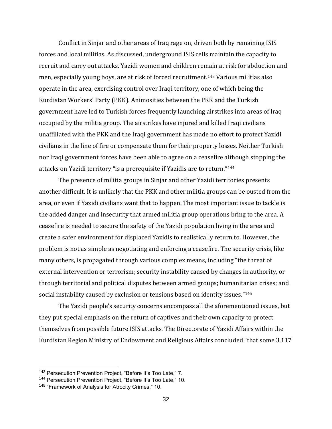Conflict in Sinjar and other areas of Iraq rage on, driven both by remaining ISIS forces and local militias. As discussed, underground ISIS cells maintain the capacity to recruit and carry out attacks. Yazidi women and children remain at risk for abduction and men, especially young boys, are at risk of forced recruitment.<sup>143</sup> Various militias also operate in the area, exercising control over Iraqi territory, one of which being the Kurdistan Workers' Party (PKK). Animosities between the PKK and the Turkish government have led to Turkish forces frequently launching airstrikes into areas of Iraq occupied by the militia group. The airstrikes have injured and killed Iraqi civilians unaffiliated with the PKK and the Iraqi government has made no effort to protect Yazidi civilians in the line of fire or compensate them for their property losses. Neither Turkish nor Iraqi government forces have been able to agree on a ceasefire although stopping the attacks on Yazidi territory "is a prerequisite if Yazidis are to return."<sup>144</sup>

The presence of militia groups in Sinjar and other Yazidi territories presents another difficult. It is unlikely that the PKK and other militia groups can be ousted from the area, or even if Yazidi civilians want that to happen. The most important issue to tackle is the added danger and insecurity that armed militia group operations bring to the area. A ceasefire is needed to secure the safety of the Yazidi population living in the area and create a safer environment for displaced Yazidis to realistically return to. However, the problem is not as simple as negotiating and enforcing a ceasefire. The security crisis, like many others, is propagated through various complex means, including "the threat of external intervention or terrorism; security instability caused by changes in authority, or through territorial and political disputes between armed groups; humanitarian crises; and social instability caused by exclusion or tensions based on identity issues."<sup>145</sup>

The Yazidi people's security concerns encompass all the aforementioned issues, but they put special emphasis on the return of captives and their own capacity to protect themselves from possible future ISIS attacks. The Directorate of Yazidi Affairs within the Kurdistan Region Ministry of Endowment and Religious Affairs concluded "that some 3,117

<sup>&</sup>lt;sup>143</sup> Persecution Prevention Project, "Before It's Too Late," 7.

<sup>144</sup> Persecution Prevention Project, "Before It's Too Late," 10.

<sup>&</sup>lt;sup>145</sup> "Framework of Analysis for Atrocity Crimes," 10.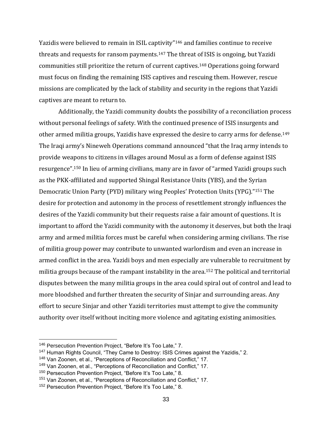Yazidis were believed to remain in ISIL captivity"<sup>146</sup> and families continue to receive threats and requests for ransom payments.<sup>147</sup> The threat of ISIS is ongoing, but Yazidi communities still prioritize the return of current captives.<sup>148</sup> Operations going forward must focus on finding the remaining ISIS captives and rescuing them. However, rescue missions are complicated by the lack of stability and security in the regions that Yazidi captives are meant to return to.

Additionally, the Yazidi community doubts the possibility of a reconciliation process without personal feelings of safety. With the continued presence of ISIS insurgents and other armed militia groups, Yazidis have expressed the desire to carry arms for defense.<sup>149</sup> The Iraqi army's Nineweh Operations command announced "that the Iraq army intends to provide weapons to citizens in villages around Mosul as a form of defense against ISIS resurgence".<sup>150</sup> In lieu of arming civilians, many are in favor of "armed Yazidi groups such as the PKK-affiliated and supported Shingal Resistance Units (YBS), and the Syrian Democratic Union Party (PYD) military wing Peoples' Protection Units (YPG)."<sup>151</sup> The desire for protection and autonomy in the process of resettlement strongly influences the desires of the Yazidi community but their requests raise a fair amount of questions. It is important to afford the Yazidi community with the autonomy it deserves, but both the Iraqi army and armed militia forces must be careful when considering arming civilians. The rise of militia group power may contribute to unwanted warlordism and even an increase in armed conflict in the area. Yazidi boys and men especially are vulnerable to recruitment by militia groups because of the rampant instability in the area.<sup>152</sup> The political and territorial disputes between the many militia groups in the area could spiral out of control and lead to more bloodshed and further threaten the security of Sinjar and surrounding areas. Any effort to secure Sinjar and other Yazidi territories must attempt to give the community authority over itself without inciting more violence and agitating existing animosities.

<sup>&</sup>lt;sup>146</sup> Persecution Prevention Project, "Before It's Too Late," 7.

<sup>&</sup>lt;sup>147</sup> Human Rights Council, "They Came to Destroy: ISIS Crimes against the Yazidis," 2.

<sup>148</sup> Van Zoonen, et al., "Perceptions of Reconciliation and Conflict," 17.

<sup>&</sup>lt;sup>149</sup> Van Zoonen, et al., "Perceptions of Reconciliation and Conflict," 17.

<sup>150</sup> Persecution Prevention Project, "Before It's Too Late," 8.

<sup>151</sup> Van Zoonen, et al., "Perceptions of Reconciliation and Conflict," 17.

<sup>152</sup> Persecution Prevention Project, "Before It's Too Late," 8.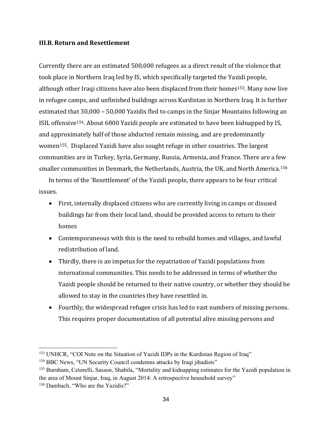## **III.B. Return and Resettlement**

Currently there are an estimated 500,000 refugees as a direct result of the violence that took place in Northern Iraq led by IS, which specifically targeted the Yazidi people, although other Iraqi citizens have also been displaced from their homes<sup>153</sup>. Many now live in refugee camps, and unfinished buildings across Kurdistan in Northern Iraq. It is further estimated that 30,000 – 50,000 Yazidis fled to camps in the Sinjar Mountains following an ISIL offensive154. About 6800 Yazidi people are estimated to have been kidnapped by IS, and approximately half of those abducted remain missing, and are predominantly women<sup>155</sup>. Displaced Yazidi have also sought refuge in other countries. The largest communities are in Turkey, Syria, Germany, Russia, Armenia, and France. There are a few smaller communities in Denmark, the Netherlands, Austria, the UK, and North America. 156

In terms of the 'Resettlement' of the Yazidi people, there appears to be four critical issues.

- First, internally displaced citizens who are currently living in camps or disused buildings far from their local land, should be provided access to return to their homes
- Contemporaneous with this is the need to rebuild homes and villages, and lawful redistribution of land.
- Thirdly, there is an impetus for the repatriation of Yazidi populations from international communities. This needs to be addressed in terms of whether the Yazidi people should be returned to their native country, or whether they should be allowed to stay in the countries they have resettled in.
- Fourthly, the widespread refugee crisis has led to vast numbers of missing persons. This requires proper documentation of all potential alive missing persons and

<sup>&</sup>lt;sup>153</sup> UNHCR, "COI Note on the Situation of Yazidi IDPs in the Kurdistan Region of Iraq"

<sup>&</sup>lt;sup>154</sup> BBC News, "UN Security Council condemns attacks by Iraqi jihadists"

<sup>155</sup> Burnham, Cetorelli, Sasson, Shabila, "Mortality and kidnapping estimates for the Yazidi population in the area of Mount Sinjar, Iraq, in August 2014: A retrospective household survey"

<sup>&</sup>lt;sup>156</sup> Dambach, "Who are the Yazidis?"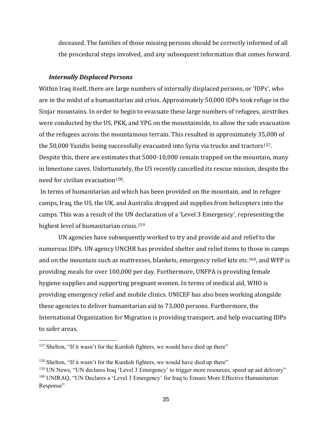deceased. The families of those missing persons should be correctly informed of all the procedural steps involved, and any subsequent information that comes forward.

## *Internally Displaced Persons*

Within Iraq itself, there are large numbers of internally displaced persons, or 'IDPs', who are in the midst of a humanitarian aid crisis. Approximately 50,000 IDPs took refuge in the Sinjar mountains. In order to begin to evacuate these large numbers of refugees, airstrikes were conducted by the US, PKK, and YPG on the mountainside, to allow the safe evacuation of the refugees across the mountainous terrain. This resulted in approximately 35,000 of the 50,000 Yazidis being successfully evacuated into Syria via trucks and tractors<sup>157</sup>. Despite this, there are estimates that 5000-10,000 remain trapped on the mountain, many in limestone caves. Unfortunately, the US recently cancelled its rescue mission, despite the need for civilian evacuation158.

In terms of humanitarian aid which has been provided on the mountain, and in refugee camps, Iraq, the US, the UK, and Australia dropped aid supplies from helicopters into the camps. This was a result of the UN declaration of a 'Level 3 Emergency', representing the highest level of humanitarian crisis.<sup>159</sup>

UN agencies have subsequently worked to try and provide aid and relief to the numerous IDPs. UN agency UNCHR has provided shelter and relief items to those in camps and on the mountain such as mattresses, blankets, emergency relief kits etc.160, and WFP is providing meals for over 100,000 per day. Furthermore, UNFPA is providing female hygiene supplies and supporting pregnant women. In terms of medical aid, WHO is providing emergency relief and mobile clinics. UNICEF has also been working alongside these agencies to deliver humanitarian aid to 73,000 persons. Furthermore, the International Organization for Migration is providing transport, and help evacuating IDPs to safer areas.

<sup>&</sup>lt;sup>157</sup> Shelton, "If it wasn't for the Kurdish fighters, we would have died up there"

<sup>&</sup>lt;sup>158</sup> Shelton, "If it wasn't for the Kurdish fighters, we would have died up there"

<sup>&</sup>lt;sup>159</sup> UN News, "UN declares Iraq 'Level 3 Emergency' to trigger more resources, speed up aid delivery" <sup>160</sup> UNIRAQ, "UN Declares a 'Level 3 Emergency' for Iraq to Ensure More Effective Humanitarian Response"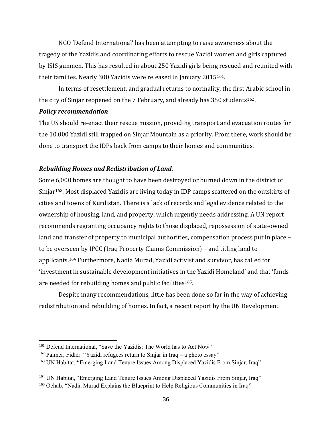NGO 'Defend International' has been attempting to raise awareness about the tragedy of the Yazidis and coordinating efforts to rescue Yazidi women and girls captured by ISIS gunmen. This has resulted in about 250 Yazidi girls being rescued and reunited with their families. Nearly 300 Yazidis were released in January 2015161.

In terms of resettlement, and gradual returns to normality, the first Arabic school in the city of Sinjar reopened on the 7 February, and already has 350 students<sup>162</sup>.

## *Policy recommendation*

The US should re-enact their rescue mission, providing transport and evacuation routes for the 10,000 Yazidi still trapped on Sinjar Mountain as a priority. From there, work should be done to transport the IDPs back from camps to their homes and communities.

## *Rebuilding Homes and Redistribution of Land.*

Some 6,000 homes are thought to have been destroyed or burned down in the district of Sinjar<sup>163</sup>. Most displaced Yazidis are living today in IDP camps scattered on the outskirts of cities and towns of Kurdistan. There is a lack of records and legal evidence related to the ownership of housing, land, and property, which urgently needs addressing. A UN report recommends regranting occupancy rights to those displaced, repossession of state-owned land and transfer of property to municipal authorities, compensation process put in place – to be overseen by IPCC (Iraq Property Claims Commission) – and titling land to applicants.<sup>164</sup> Furthermore, Nadia Murad, Yazidi activist and survivor, has called for 'investment in sustainable development initiatives in the Yazidi Homeland' and that 'funds are needed for rebuilding homes and public facilities<sup>165</sup>.

Despite many recommendations, little has been done so far in the way of achieving redistribution and rebuilding of homes. In fact, a recent report by the UN Development

<sup>&</sup>lt;sup>161</sup> Defend International, "Save the Yazidis: The World has to Act Now"

<sup>&</sup>lt;sup>162</sup> Palmer, Fidler. "Yazidi refugees return to Sinjar in Iraq – a photo essay"

<sup>&</sup>lt;sup>163</sup> UN Habitat, "Emerging Land Tenure Issues Among Displaced Yazidis From Sinjar, Iraq"

<sup>&</sup>lt;sup>164</sup> UN Habitat, "Emerging Land Tenure Issues Among Displaced Yazidis From Sinjar, Iraq"

<sup>&</sup>lt;sup>165</sup> Ochab, "Nadia Murad Explains the Blueprint to Help Religious Communities in Iraq"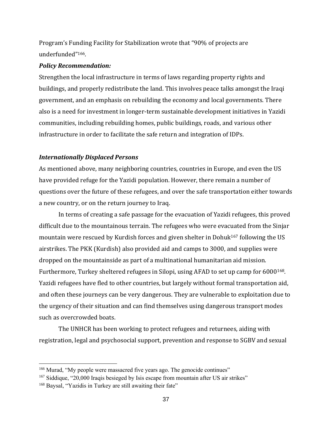Program's Funding Facility for Stabilization wrote that "90% of projects are underfunded"166.

# *Policy Recommendation:*

Strengthen the local infrastructure in terms of laws regarding property rights and buildings, and properly redistribute the land. This involves peace talks amongst the Iraqi government, and an emphasis on rebuilding the economy and local governments. There also is a need for investment in longer-term sustainable development initiatives in Yazidi communities, including rebuilding homes, public buildings, roads, and various other infrastructure in order to facilitate the safe return and integration of IDPs.

# *Internationally Displaced Persons*

As mentioned above, many neighboring countries, countries in Europe, and even the US have provided refuge for the Yazidi population. However, there remain a number of questions over the future of these refugees, and over the safe transportation either towards a new country, or on the return journey to Iraq.

In terms of creating a safe passage for the evacuation of Yazidi refugees, this proved difficult due to the mountainous terrain. The refugees who were evacuated from the Sinjar mountain were rescued by Kurdish forces and given shelter in Dohuk $167$  following the US airstrikes. The PKK (Kurdish) also provided aid and camps to 3000, and supplies were dropped on the mountainside as part of a multinational humanitarian aid mission. Furthermore, Turkey sheltered refugees in Silopi, using AFAD to set up camp for 6000<sup>168</sup>. Yazidi refugees have fled to other countries, but largely without formal transportation aid, and often these journeys can be very dangerous. They are vulnerable to exploitation due to the urgency of their situation and can find themselves using dangerous transport modes such as overcrowded boats.

The UNHCR has been working to protect refugees and returnees, aiding with registration, legal and psychosocial support, prevention and response to SGBV and sexual

<sup>&</sup>lt;sup>166</sup> Murad, "My people were massacred five years ago. The genocide continues"

<sup>167</sup> Siddique, "20,000 Iraqis besieged by Isis escape from mountain after US air strikes"

<sup>&</sup>lt;sup>168</sup> Baysal, "Yazidis in Turkey are still awaiting their fate"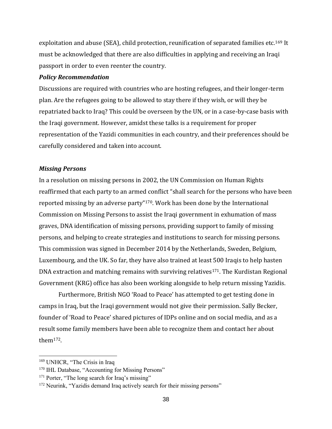exploitation and abuse (SEA), child protection, reunification of separated families etc.<sup>169</sup> It must be acknowledged that there are also difficulties in applying and receiving an Iraqi passport in order to even reenter the country.

## *Policy Recommendation*

Discussions are required with countries who are hosting refugees, and their longer-term plan. Are the refugees going to be allowed to stay there if they wish, or will they be repatriated back to Iraq? This could be overseen by the UN, or in a case-by-case basis with the Iraqi government. However, amidst these talks is a requirement for proper representation of the Yazidi communities in each country, and their preferences should be carefully considered and taken into account.

# *Missing Persons*

In a resolution on missing persons in 2002, the UN Commission on Human Rights reaffirmed that each party to an armed conflict "shall search for the persons who have been reported missing by an adverse party"170. Work has been done by the International Commission on Missing Persons to assist the Iraqi government in exhumation of mass graves, DNA identification of missing persons, providing support to family of missing persons, and helping to create strategies and institutions to search for missing persons. This commission was signed in December 2014 by the Netherlands, Sweden, Belgium, Luxembourg, and the UK. So far, they have also trained at least 500 Iraqis to help hasten DNA extraction and matching remains with surviving relatives<sup>171</sup>. The Kurdistan Regional Government (KRG) office has also been working alongside to help return missing Yazidis.

Furthermore, British NGO 'Road to Peace' has attempted to get testing done in camps in Iraq, but the Iraqi government would not give their permission. Sally Becker, founder of 'Road to Peace' shared pictures of IDPs online and on social media, and as a result some family members have been able to recognize them and contact her about them172.

<sup>169</sup> UNHCR, "The Crisis in Iraq

<sup>&</sup>lt;sup>170</sup> IHL Database, "Accounting for Missing Persons"

<sup>&</sup>lt;sup>171</sup> Porter, "The long search for Iraq's missing"

<sup>&</sup>lt;sup>172</sup> Neurink, "Yazidis demand Iraq actively search for their missing persons"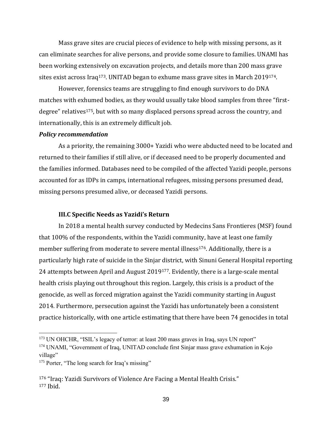Mass grave sites are crucial pieces of evidence to help with missing persons, as it can eliminate searches for alive persons, and provide some closure to families. UNAMI has been working extensively on excavation projects, and details more than 200 mass grave sites exist across Iraq<sup>173</sup>. UNITAD began to exhume mass grave sites in March 2019<sup>174</sup>.

However, forensics teams are struggling to find enough survivors to do DNA matches with exhumed bodies, as they would usually take blood samples from three "firstdegree" relatives175, but with so many displaced persons spread across the country, and internationally, this is an extremely difficult job.

#### *Policy recommendation*

As a priority, the remaining 3000+ Yazidi who were abducted need to be located and returned to their families if still alive, or if deceased need to be properly documented and the families informed. Databases need to be compiled of the affected Yazidi people, persons accounted for as IDPs in camps, international refugees, missing persons presumed dead, missing persons presumed alive, or deceased Yazidi persons.

## **III.C Specific Needs as Yazidi's Return**

In 2018 a mental health survey conducted by Medecins Sans Frontieres (MSF) found that 100% of the respondents, within the Yazidi community, have at least one family member suffering from moderate to severe mental illness<sup>176</sup>. Additionally, there is a particularly high rate of suicide in the Sinjar district, with Sinuni General Hospital reporting 24 attempts between April and August 2019177. Evidently, there is a large-scale mental health crisis playing out throughout this region. Largely, this crisis is a product of the genocide, as well as forced migration against the Yazidi community starting in August 2014. Furthermore, persecution against the Yazidi has unfortunately been a consistent practice historically, with one article estimating that there have been 74 genocides in total

<sup>&</sup>lt;sup>173</sup> UN OHCHR, "ISIL's legacy of terror: at least 200 mass graves in Iraq, says UN report"

<sup>174</sup> UNAMI, "Government of Iraq, UNITAD conclude first Sinjar mass grave exhumation in Kojo village"

<sup>&</sup>lt;sup>175</sup> Porter, "The long search for Iraq's missing"

<sup>176</sup> "Iraq: Yazidi Survivors of Violence Are Facing a Mental Health Crisis." <sup>177</sup> Ibid.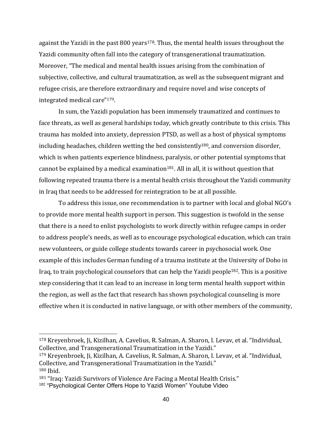against the Yazidi in the past 800 years<sup>178</sup>. Thus, the mental health issues throughout the Yazidi community often fall into the category of transgenerational traumatization. Moreover, "The medical and mental health issues arising from the combination of subjective, collective, and cultural traumatization, as well as the subsequent migrant and refugee crisis, are therefore extraordinary and require novel and wise concepts of integrated medical care"179.

In sum, the Yazidi population has been immensely traumatized and continues to face threats, as well as general hardships today, which greatly contribute to this crisis. This trauma has molded into anxiety, depression PTSD, as well as a host of physical symptoms including headaches, children wetting the bed consistently<sup>180</sup>, and conversion disorder, which is when patients experience blindness, paralysis, or other potential symptoms that cannot be explained by a medical examination<sup>181</sup>. All in all, it is without question that following repeated trauma there is a mental health crisis throughout the Yazidi community in Iraq that needs to be addressed for reintegration to be at all possible.

To address this issue, one recommendation is to partner with local and global NGO's to provide more mental health support in person. This suggestion is twofold in the sense that there is a need to enlist psychologists to work directly within refugee camps in order to address people's needs, as well as to encourage psychological education, which can train new volunteers, or guide college students towards career in psychosocial work. One example of this includes German funding of a trauma institute at the University of Doho in Iraq, to train psychological counselors that can help the Yazidi people182. This is a positive step considering that it can lead to an increase in long term mental health support within the region, as well as the fact that research has shown psychological counseling is more effective when it is conducted in native language, or with other members of the community,

<sup>178</sup> Kreyenbroek, Ji, Kizilhan, A. Cavelius, R. Salman, A. Sharon, I. Levav, et al. "Individual, Collective, and Transgenerational Traumatization in the Yazidi."

<sup>179</sup> Kreyenbroek, Ji, Kizilhan, A. Cavelius, R. Salman, A. Sharon, I. Levav, et al. "Individual, Collective, and Transgenerational Traumatization in the Yazidi." <sup>180</sup> Ibid.

<sup>181</sup> "Iraq: Yazidi Survivors of Violence Are Facing a Mental Health Crisis."

<sup>&</sup>lt;sup>182</sup> "Psychological Center Offers Hope to Yazidi Women" Youtube Video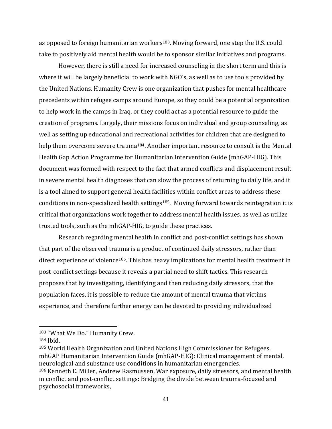as opposed to foreign humanitarian workers<sup>183</sup>. Moving forward, one step the U.S. could take to positively aid mental health would be to sponsor similar initiatives and programs.

However, there is still a need for increased counseling in the short term and this is where it will be largely beneficial to work with NGO's, as well as to use tools provided by the United Nations. Humanity Crew is one organization that pushes for mental healthcare precedents within refugee camps around Europe, so they could be a potential organization to help work in the camps in Iraq, or they could act as a potential resource to guide the creation of programs. Largely, their missions focus on individual and group counseling, as well as setting up educational and recreational activities for children that are designed to help them overcome severe trauma<sup>184</sup>. Another important resource to consult is the Mental Health Gap Action Programme for Humanitarian Intervention Guide (mhGAP-HIG). This document was formed with respect to the fact that armed conflicts and displacement result in severe mental health diagnoses that can slow the process of returning to daily life, and it is a tool aimed to support general health facilities within conflict areas to address these conditions in non-specialized health settings<sup>185</sup>. Moving forward towards reintegration it is critical that organizations work together to address mental health issues, as well as utilize trusted tools, such as the mhGAP-HIG, to guide these practices.

Research regarding mental health in conflict and post-conflict settings has shown that part of the observed trauma is a product of continued daily stressors, rather than direct experience of violence<sup>186</sup>. This has heavy implications for mental health treatment in post-conflict settings because it reveals a partial need to shift tactics. This research proposes that by investigating, identifying and then reducing daily stressors, that the population faces, it is possible to reduce the amount of mental trauma that victims experience, and therefore further energy can be devoted to providing individualized

<sup>183</sup> "What We Do." Humanity Crew.

<sup>184</sup> Ibid.

<sup>185</sup> World Health Organization and United Nations High Commissioner for Refugees. mhGAP Humanitarian Intervention Guide (mhGAP-HIG): Clinical management of mental, neurological and substance use conditions in humanitarian emergencies. <sup>186</sup> Kenneth E. Miller, Andrew Rasmussen, War exposure, daily stressors, and mental health in conflict and post-conflict settings: Bridging the divide between trauma-focused and

psychosocial frameworks,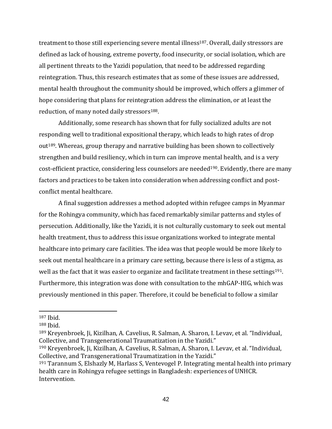treatment to those still experiencing severe mental illness<sup>187</sup>. Overall, daily stressors are defined as lack of housing, extreme poverty, food insecurity, or social isolation, which are all pertinent threats to the Yazidi population, that need to be addressed regarding reintegration. Thus, this research estimates that as some of these issues are addressed, mental health throughout the community should be improved, which offers a glimmer of hope considering that plans for reintegration address the elimination, or at least the reduction, of many noted daily stressors<sup>188</sup>.

Additionally, some research has shown that for fully socialized adults are not responding well to traditional expositional therapy, which leads to high rates of drop out189. Whereas, group therapy and narrative building has been shown to collectively strengthen and build resiliency, which in turn can improve mental health, and is a very cost-efficient practice, considering less counselors are needed<sup>190</sup>. Evidently, there are many factors and practices to be taken into consideration when addressing conflict and postconflict mental healthcare.

A final suggestion addresses a method adopted within refugee camps in Myanmar for the Rohingya community, which has faced remarkably similar patterns and styles of persecution. Additionally, like the Yazidi, it is not culturally customary to seek out mental health treatment, thus to address this issue organizations worked to integrate mental healthcare into primary care facilities. The idea was that people would be more likely to seek out mental healthcare in a primary care setting, because there is less of a stigma, as well as the fact that it was easier to organize and facilitate treatment in these settings<sup>191</sup>. Furthermore, this integration was done with consultation to the mhGAP-HIG, which was previously mentioned in this paper. Therefore, it could be beneficial to follow a similar

<sup>187</sup> Ibid.

<sup>188</sup> Ibid.

<sup>189</sup> Kreyenbroek, Ji, Kizilhan, A. Cavelius, R. Salman, A. Sharon, I. Levav, et al. "Individual, Collective, and Transgenerational Traumatization in the Yazidi."

<sup>190</sup> Kreyenbroek, Ji, Kizilhan, A. Cavelius, R. Salman, A. Sharon, I. Levav, et al. "Individual, Collective, and Transgenerational Traumatization in the Yazidi."

<sup>191</sup> Tarannum S, Elshazly M, Harlass S, Ventevogel P. Integrating mental health into primary health care in Rohingya refugee settings in Bangladesh: experiences of UNHCR. Intervention.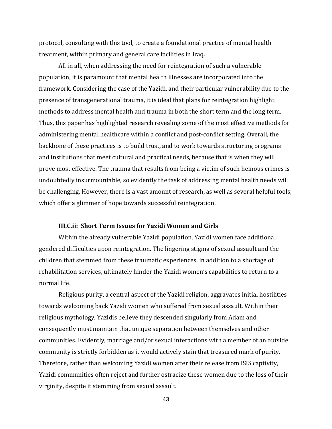protocol, consulting with this tool, to create a foundational practice of mental health treatment, within primary and general care facilities in Iraq.

All in all, when addressing the need for reintegration of such a vulnerable population, it is paramount that mental health illnesses are incorporated into the framework. Considering the case of the Yazidi, and their particular vulnerability due to the presence of transgenerational trauma, it is ideal that plans for reintegration highlight methods to address mental health and trauma in both the short term and the long term. Thus, this paper has highlighted research revealing some of the most effective methods for administering mental healthcare within a conflict and post-conflict setting. Overall, the backbone of these practices is to build trust, and to work towards structuring programs and institutions that meet cultural and practical needs, because that is when they will prove most effective. The trauma that results from being a victim of such heinous crimes is undoubtedly insurmountable, so evidently the task of addressing mental health needs will be challenging. However, there is a vast amount of research, as well as several helpful tools, which offer a glimmer of hope towards successful reintegration.

## **III.C.ii: Short Term Issues for Yazidi Women and Girls**

Within the already vulnerable Yazidi population, Yazidi women face additional gendered difficulties upon reintegration. The lingering stigma of sexual assault and the children that stemmed from these traumatic experiences, in addition to a shortage of rehabilitation services, ultimately hinder the Yazidi women's capabilities to return to a normal life.

Religious purity, a central aspect of the Yazidi religion, aggravates initial hostilities towards welcoming back Yazidi women who suffered from sexual assault. Within their religious mythology, Yazidis believe they descended singularly from Adam and consequently must maintain that unique separation between themselves and other communities. Evidently, marriage and/or sexual interactions with a member of an outside community is strictly forbidden as it would actively stain that treasured mark of purity. Therefore, rather than welcoming Yazidi women after their release from ISIS captivity, Yazidi communities often reject and further ostracize these women due to the loss of their virginity, despite it stemming from sexual assault.

43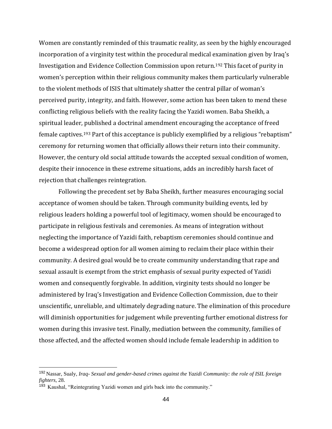Women are constantly reminded of this traumatic reality, as seen by the highly encouraged incorporation of a virginity test within the procedural medical examination given by Iraq's Investigation and Evidence Collection Commission upon return.<sup>192</sup> This facet of purity in women's perception within their religious community makes them particularly vulnerable to the violent methods of ISIS that ultimately shatter the central pillar of woman's perceived purity, integrity, and faith. However, some action has been taken to mend these conflicting religious beliefs with the reality facing the Yazidi women. Baba Sheikh, a spiritual leader, published a doctrinal amendment encouraging the acceptance of freed female captives.<sup>193</sup> Part of this acceptance is publicly exemplified by a religious "rebaptism" ceremony for returning women that officially allows their return into their community. However, the century old social attitude towards the accepted sexual condition of women, despite their innocence in these extreme situations, adds an incredibly harsh facet of rejection that challenges reintegration.

Following the precedent set by Baba Sheikh, further measures encouraging social acceptance of women should be taken. Through community building events, led by religious leaders holding a powerful tool of legitimacy, women should be encouraged to participate in religious festivals and ceremonies. As means of integration without neglecting the importance of Yazidi faith, rebaptism ceremonies should continue and become a widespread option for all women aiming to reclaim their place within their community. A desired goal would be to create community understanding that rape and sexual assault is exempt from the strict emphasis of sexual purity expected of Yazidi women and consequently forgivable. In addition, virginity tests should no longer be administered by Iraq's Investigation and Evidence Collection Commission, due to their unscientific, unreliable, and ultimately degrading nature. The elimination of this procedure will diminish opportunities for judgement while preventing further emotional distress for women during this invasive test. Finally, mediation between the community, families of those affected, and the affected women should include female leadership in addition to

<sup>192</sup> Nassar, Sualy, *Iraq- Sexual and gender-based crimes against the Yazidi Community: the role of ISIL foreign fighters*, 28.

<sup>193</sup> Kaushal, "Reintegrating Yazidi women and girls back into the community."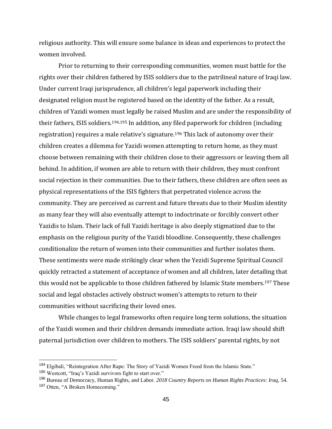religious authority. This will ensure some balance in ideas and experiences to protect the women involved.

Prior to returning to their corresponding communities, women must battle for the rights over their children fathered by ISIS soldiers due to the patrilineal nature of Iraqi law. Under current Iraqi jurisprudence, all children's legal paperwork including their designated religion must be registered based on the identity of the father. As a result, children of Yazidi women must legally be raised Muslim and are under the responsibility of their fathers, ISIS soldiers.<sup>194,195</sup> In addition, any filed paperwork for children (including registration) requires a male relative's signature.<sup>196</sup> This lack of autonomy over their children creates a dilemma for Yazidi women attempting to return home, as they must choose between remaining with their children close to their aggressors or leaving them all behind. In addition, if women are able to return with their children, they must confront social rejection in their communities. Due to their fathers, these children are often seen as physical representations of the ISIS fighters that perpetrated violence across the community. They are perceived as current and future threats due to their Muslim identity as many fear they will also eventually attempt to indoctrinate or forcibly convert other Yazidis to Islam. Their lack of full Yazidi heritage is also deeply stigmatized due to the emphasis on the religious purity of the Yazidi bloodline. Consequently, these challenges conditionalize the return of women into their communities and further isolates them. These sentiments were made strikingly clear when the Yezidi Supreme Spiritual Council quickly retracted a statement of acceptance of women and all children, later detailing that this would not be applicable to those children fathered by Islamic State members.<sup>197</sup> These social and legal obstacles actively obstruct women's attempts to return to their communities without sacrificing their loved ones.

While changes to legal frameworks often require long term solutions, the situation of the Yazidi women and their children demands immediate action. Iraqi law should shift paternal jurisdiction over children to mothers. The ISIS soldiers' parental rights, by not

<sup>&</sup>lt;sup>194</sup> Elgibali, "Reintegration After Rape: The Story of Yazidi Women Freed from the Islamic State."

<sup>195</sup> Westcott, "Iraq's Yazidi survivors fight to start over."

<sup>196</sup> Bureau of Democracy, Human Rights, and Labor. *2018 Country Reports on Human Rights Practices: Iraq,* 54. <sup>197</sup> Otten, "A Broken Homecoming."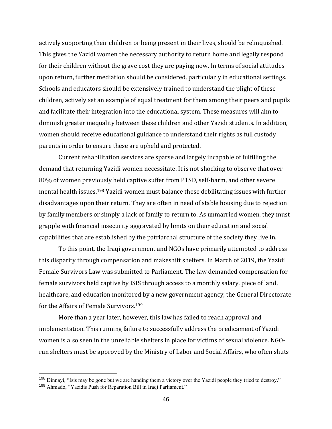actively supporting their children or being present in their lives, should be relinquished. This gives the Yazidi women the necessary authority to return home and legally respond for their children without the grave cost they are paying now. In terms of social attitudes upon return, further mediation should be considered, particularly in educational settings. Schools and educators should be extensively trained to understand the plight of these children, actively set an example of equal treatment for them among their peers and pupils and facilitate their integration into the educational system. These measures will aim to diminish greater inequality between these children and other Yazidi students. In addition, women should receive educational guidance to understand their rights as full custody parents in order to ensure these are upheld and protected.

Current rehabilitation services are sparse and largely incapable of fulfilling the demand that returning Yazidi women necessitate. It is not shocking to observe that over 80% of women previously held captive suffer from PTSD, self-harm, and other severe mental health issues.<sup>198</sup> Yazidi women must balance these debilitating issues with further disadvantages upon their return. They are often in need of stable housing due to rejection by family members or simply a lack of family to return to. As unmarried women, they must grapple with financial insecurity aggravated by limits on their education and social capabilities that are established by the patriarchal structure of the society they live in.

To this point, the Iraqi government and NGOs have primarily attempted to address this disparity through compensation and makeshift shelters. In March of 2019, the Yazidi Female Survivors Law was submitted to Parliament. The law demanded compensation for female survivors held captive by ISIS through access to a monthly salary, piece of land, healthcare, and education monitored by a new government agency, the General Directorate for the Affairs of Female Survivors.<sup>199</sup>

More than a year later, however, this law has failed to reach approval and implementation. This running failure to successfully address the predicament of Yazidi women is also seen in the unreliable shelters in place for victims of sexual violence. NGOrun shelters must be approved by the Ministry of Labor and Social Affairs, who often shuts

<sup>198</sup> Dinnayi, "Isis may be gone but we are handing them a victory over the Yazidi people they tried to destroy." <sup>199</sup> Ahmado, "Yazidis Push for Reparation Bill in Iraqi Parliament."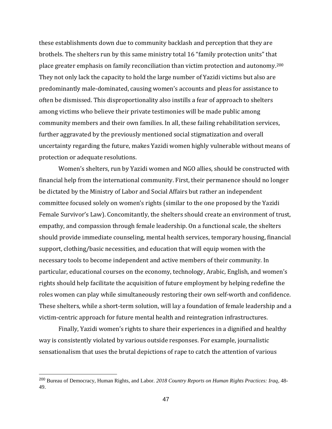these establishments down due to community backlash and perception that they are brothels. The shelters run by this same ministry total 16 "family protection units" that place greater emphasis on family reconciliation than victim protection and autonomy.<sup>200</sup> They not only lack the capacity to hold the large number of Yazidi victims but also are predominantly male-dominated, causing women's accounts and pleas for assistance to often be dismissed. This disproportionality also instills a fear of approach to shelters among victims who believe their private testimonies will be made public among community members and their own families. In all, these failing rehabilitation services, further aggravated by the previously mentioned social stigmatization and overall uncertainty regarding the future, makes Yazidi women highly vulnerable without means of protection or adequate resolutions.

Women's shelters, run by Yazidi women and NGO allies, should be constructed with financial help from the international community. First, their permanence should no longer be dictated by the Ministry of Labor and Social Affairs but rather an independent committee focused solely on women's rights (similar to the one proposed by the Yazidi Female Survivor's Law). Concomitantly, the shelters should create an environment of trust, empathy, and compassion through female leadership. On a functional scale, the shelters should provide immediate counseling, mental health services, temporary housing, financial support, clothing/basic necessities, and education that will equip women with the necessary tools to become independent and active members of their community. In particular, educational courses on the economy, technology, Arabic, English, and women's rights should help facilitate the acquisition of future employment by helping redefine the roles women can play while simultaneously restoring their own self-worth and confidence. These shelters, while a short-term solution, will lay a foundation of female leadership and a victim-centric approach for future mental health and reintegration infrastructures.

Finally, Yazidi women's rights to share their experiences in a dignified and healthy way is consistently violated by various outside responses. For example, journalistic sensationalism that uses the brutal depictions of rape to catch the attention of various

<sup>200</sup> Bureau of Democracy, Human Rights, and Labor. *2018 Country Reports on Human Rights Practices: Iraq*, 48- 49.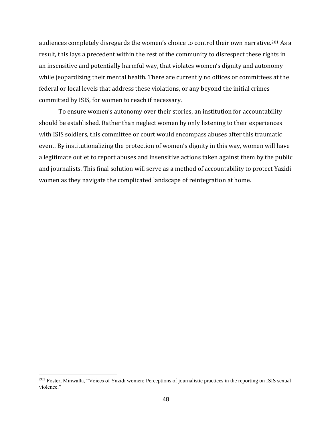audiences completely disregards the women's choice to control their own narrative.<sup>201</sup> As a result, this lays a precedent within the rest of the community to disrespect these rights in an insensitive and potentially harmful way, that violates women's dignity and autonomy while jeopardizing their mental health. There are currently no offices or committees at the federal or local levels that address these violations, or any beyond the initial crimes committed by ISIS, for women to reach if necessary.

To ensure women's autonomy over their stories, an institution for accountability should be established. Rather than neglect women by only listening to their experiences with ISIS soldiers, this committee or court would encompass abuses after this traumatic event. By institutionalizing the protection of women's dignity in this way, women will have a legitimate outlet to report abuses and insensitive actions taken against them by the public and journalists. This final solution will serve as a method of accountability to protect Yazidi women as they navigate the complicated landscape of reintegration at home.

<sup>201</sup> Foster, Minwalla, "Voices of Yazidi women: Perceptions of journalistic practices in the reporting on ISIS sexual violence."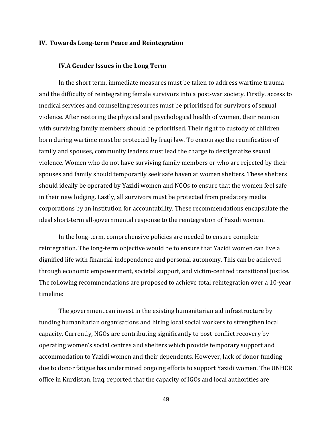#### **IV. Towards Long-term Peace and Reintegration**

#### **IV.A Gender Issues in the Long Term**

In the short term, immediate measures must be taken to address wartime trauma and the difficulty of reintegrating female survivors into a post-war society. Firstly, access to medical services and counselling resources must be prioritised for survivors of sexual violence. After restoring the physical and psychological health of women, their reunion with surviving family members should be prioritised. Their right to custody of children born during wartime must be protected by Iraqi law. To encourage the reunification of family and spouses, community leaders must lead the charge to destigmatize sexual violence. Women who do not have surviving family members or who are rejected by their spouses and family should temporarily seek safe haven at women shelters. These shelters should ideally be operated by Yazidi women and NGOs to ensure that the women feel safe in their new lodging. Lastly, all survivors must be protected from predatory media corporations by an institution for accountability. These recommendations encapsulate the ideal short-term all-governmental response to the reintegration of Yazidi women.

In the long-term, comprehensive policies are needed to ensure complete reintegration. The long-term objective would be to ensure that Yazidi women can live a dignified life with financial independence and personal autonomy. This can be achieved through economic empowerment, societal support, and victim-centred transitional justice. The following recommendations are proposed to achieve total reintegration over a 10-year timeline:

The government can invest in the existing humanitarian aid infrastructure by funding humanitarian organisations and hiring local social workers to strengthen local capacity. Currently, NGOs are contributing significantly to post-conflict recovery by operating women's social centres and shelters which provide temporary support and accommodation to Yazidi women and their dependents. However, lack of donor funding due to donor fatigue has undermined ongoing efforts to support Yazidi women. The UNHCR office in Kurdistan, Iraq, reported that the capacity of IGOs and local authorities are

49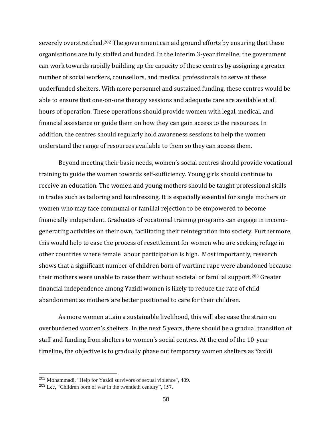severely overstretched.<sup>202</sup> The government can aid ground efforts by ensuring that these organisations are fully staffed and funded. In the interim 3-year timeline, the government can work towards rapidly building up the capacity of these centres by assigning a greater number of social workers, counsellors, and medical professionals to serve at these underfunded shelters. With more personnel and sustained funding, these centres would be able to ensure that one-on-one therapy sessions and adequate care are available at all hours of operation. These operations should provide women with legal, medical, and financial assistance or guide them on how they can gain access to the resources. In addition, the centres should regularly hold awareness sessions to help the women understand the range of resources available to them so they can access them.

Beyond meeting their basic needs, women's social centres should provide vocational training to guide the women towards self-sufficiency. Young girls should continue to receive an education. The women and young mothers should be taught professional skills in trades such as tailoring and hairdressing. It is especially essential for single mothers or women who may face communal or familial rejection to be empowered to become financially independent. Graduates of vocational training programs can engage in incomegenerating activities on their own, facilitating their reintegration into society. Furthermore, this would help to ease the process of resettlement for women who are seeking refuge in other countries where female labour participation is high. Most importantly, research shows that a significant number of children born of wartime rape were abandoned because their mothers were unable to raise them without societal or familial support.<sup>203</sup> Greater financial independence among Yazidi women is likely to reduce the rate of child abandonment as mothers are better positioned to care for their children.

As more women attain a sustainable livelihood, this will also ease the strain on overburdened women's shelters. In the next 5 years, there should be a gradual transition of staff and funding from shelters to women's social centres. At the end of the 10-year timeline, the objective is to gradually phase out temporary women shelters as Yazidi

<sup>202</sup> Mohammadi, "Help for Yazidi survivors of sexual violence", 409.

<sup>203</sup> Lee, "Children born of war in the twentieth century", 157.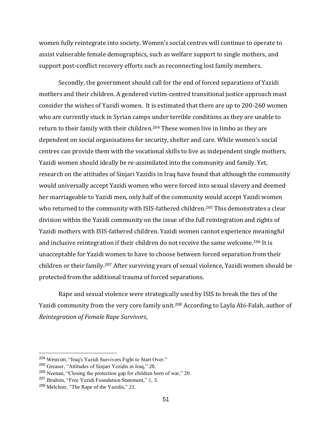women fully reintegrate into society. Women's social centres will continue to operate to assist vulnerable female demographics, such as welfare support to single mothers, and support post-conflict recovery efforts such as reconnecting lost family members.

Secondly, the government should call for the end of forced separations of Yazidi mothers and their children. A gendered victim-centred transitional justice approach must consider the wishes of Yazidi women. It is estimated that there are up to 200-260 women who are currently stuck in Syrian camps under terrible conditions as they are unable to return to their family with their children.<sup>204</sup> These women live in limbo as they are dependent on social organisations for security, shelter and care. While women's social centres can provide them with the vocational skills to live as independent single mothers, Yazidi women should ideally be re-assimilated into the community and family. Yet, research on the attitudes of Sinjari Yazidis in Iraq have found that although the community would universally accept Yazidi women who were forced into sexual slavery and deemed her marriageable to Yazidi men, only half of the community would accept Yazidi women who returned to the community with ISIS-fathered children.<sup>205</sup> This demonstrates a clear division within the Yazidi community on the issue of the full reintegration and rights of Yazidi mothers with ISIS-fathered children. Yazidi women cannot experience meaningful and inclusive reintegration if their children do not receive the same welcome.<sup>206</sup> It is unacceptable for Yazidi women to have to choose between forced separation from their children or their family.<sup>207</sup> After surviving years of sexual violence, Yazidi women should be protected from the additional trauma of forced separations.

Rape and sexual violence were strategically used by ISIS to break the ties of the Yazidi community from the very core family unit.<sup>208</sup> According to Layla Abi-Falah, author of *Reintegration of Female Rape Survivors*,

<sup>204</sup> Westcott, "Iraq's Yazidi Survivors Fight to Start Over."

<sup>205</sup> Greaser, "Attitudes of Sinjari Yezidis in Iraq," 28.

<sup>206</sup> Neenan, "Closing the protection gap for children born of war," 20.

<sup>207</sup> Ibrahim, "Free Yezidi Foundation Statement," 1, 3.

<sup>208</sup> Melchoir, "The Rape of the Yazidis," 21.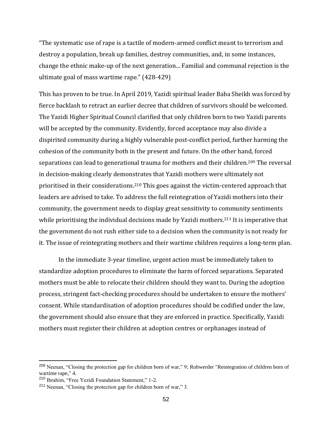"The systematic use of rape is a tactile of modern-armed conflict meant to terrorism and destroy a population, break up families, destroy communities, and, in some instances, change the ethnic make-up of the next generation... Familial and communal rejection is the ultimate goal of mass wartime rape." (428-429)

This has proven to be true. In April 2019, Yazidi spiritual leader Baba Sheikh was forced by fierce backlash to retract an earlier decree that children of survivors should be welcomed. The Yazidi Higher Spiritual Council clarified that only children born to two Yazidi parents will be accepted by the community. Evidently, forced acceptance may also divide a dispirited community during a highly vulnerable post-conflict period, further harming the cohesion of the community both in the present and future. On the other hand, forced separations can lead to generational trauma for mothers and their children.<sup>209</sup> The reversal in decision-making clearly demonstrates that Yazidi mothers were ultimately not prioritised in their considerations.<sup>210</sup> This goes against the victim-centered approach that leaders are advised to take. To address the full reintegration of Yazidi mothers into their community, the government needs to display great sensitivity to community sentiments while prioritising the individual decisions made by Yazidi mothers.<sup>211</sup> It is imperative that the government do not rush either side to a decision when the community is not ready for it. The issue of reintegrating mothers and their wartime children requires a long-term plan.

In the immediate 3-year timeline, urgent action must be immediately taken to standardize adoption procedures to eliminate the harm of forced separations. Separated mothers must be able to relocate their children should they want to. During the adoption process, stringent fact-checking procedures should be undertaken to ensure the mothers' consent. While standardisation of adoption procedures should be codified under the law, the government should also ensure that they are enforced in practice. Specifically, Yazidi mothers must register their children at adoption centres or orphanages instead of

<sup>&</sup>lt;sup>209</sup> Neenan, "Closing the protection gap for children born of war," 9; Rohwerder "Reintegration of children born of wartime rape," 4.

<sup>210</sup> Ibrahim, "Free Yezidi Foundation Statement," 1-2.

<sup>211</sup> Neenan, "Closing the protection gap for children born of war," 3.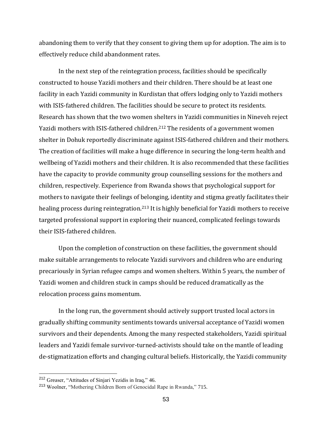abandoning them to verify that they consent to giving them up for adoption. The aim is to effectively reduce child abandonment rates.

In the next step of the reintegration process, facilities should be specifically constructed to house Yazidi mothers and their children. There should be at least one facility in each Yazidi community in Kurdistan that offers lodging only to Yazidi mothers with ISIS-fathered children. The facilities should be secure to protect its residents. Research has shown that the two women shelters in Yazidi communities in Nineveh reject Yazidi mothers with ISIS-fathered children.<sup>212</sup> The residents of a government women shelter in Dohuk reportedly discriminate against ISIS-fathered children and their mothers. The creation of facilities will make a huge difference in securing the long-term health and wellbeing of Yazidi mothers and their children. It is also recommended that these facilities have the capacity to provide community group counselling sessions for the mothers and children, respectively. Experience from Rwanda shows that psychological support for mothers to navigate their feelings of belonging, identity and stigma greatly facilitates their healing process during reintegration.<sup>213</sup> It is highly beneficial for Yazidi mothers to receive targeted professional support in exploring their nuanced, complicated feelings towards their ISIS-fathered children.

Upon the completion of construction on these facilities, the government should make suitable arrangements to relocate Yazidi survivors and children who are enduring precariously in Syrian refugee camps and women shelters. Within 5 years, the number of Yazidi women and children stuck in camps should be reduced dramatically as the relocation process gains momentum.

In the long run, the government should actively support trusted local actors in gradually shifting community sentiments towards universal acceptance of Yazidi women survivors and their dependents. Among the many respected stakeholders, Yazidi spiritual leaders and Yazidi female survivor-turned-activists should take on the mantle of leading de-stigmatization efforts and changing cultural beliefs. Historically, the Yazidi community

<sup>212</sup> Greaser, "Attitudes of Sinjari Yezidis in Iraq," 46.

<sup>213</sup> Woolner, "Mothering Children Born of Genocidal Rape in Rwanda," 715.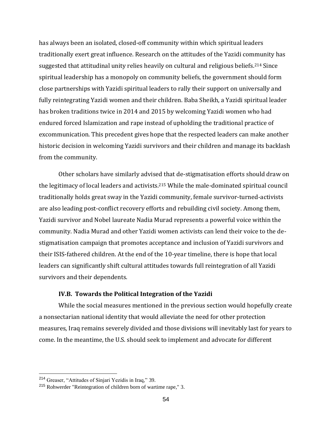has always been an isolated, closed-off community within which spiritual leaders traditionally exert great influence. Research on the attitudes of the Yazidi community has suggested that attitudinal unity relies heavily on cultural and religious beliefs.<sup>214</sup> Since spiritual leadership has a monopoly on community beliefs, the government should form close partnerships with Yazidi spiritual leaders to rally their support on universally and fully reintegrating Yazidi women and their children. Baba Sheikh, a Yazidi spiritual leader has broken traditions twice in 2014 and 2015 by welcoming Yazidi women who had endured forced Islamization and rape instead of upholding the traditional practice of excommunication. This precedent gives hope that the respected leaders can make another historic decision in welcoming Yazidi survivors and their children and manage its backlash from the community.

Other scholars have similarly advised that de-stigmatisation efforts should draw on the legitimacy of local leaders and activists.<sup>215</sup> While the male-dominated spiritual council traditionally holds great sway in the Yazidi community, female survivor-turned-activists are also leading post-conflict recovery efforts and rebuilding civil society. Among them, Yazidi survivor and Nobel laureate Nadia Murad represents a powerful voice within the community. Nadia Murad and other Yazidi women activists can lend their voice to the destigmatisation campaign that promotes acceptance and inclusion of Yazidi survivors and their ISIS-fathered children. At the end of the 10-year timeline, there is hope that local leaders can significantly shift cultural attitudes towards full reintegration of all Yazidi survivors and their dependents.

#### **IV.B. Towards the Political Integration of the Yazidi**

While the social measures mentioned in the previous section would hopefully create a nonsectarian national identity that would alleviate the need for other protection measures, Iraq remains severely divided and those divisions will inevitably last for years to come. In the meantime, the U.S. should seek to implement and advocate for different

<sup>214</sup> Greaser, "Attitudes of Sinjari Yezidis in Iraq," 39.

<sup>215</sup> Rohwerder "Reintegration of children born of wartime rape," 3.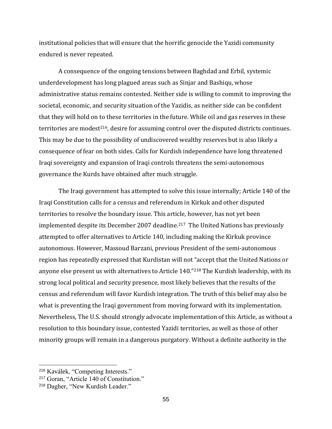institutional policies that will ensure that the horrific genocide the Yazidi community endured is never repeated.

A consequence of the ongoing tensions between Baghdad and Erbil, systemic underdevelopment has long plagued areas such as Sinjar and Bashiqu, whose administrative status remains contested. Neither side is willing to commit to improving the societal, economic, and security situation of the Yazidis, as neither side can be confident that they will hold on to these territories in the future. While oil and gas reserves in these territories are modest<sup>216</sup>, desire for assuming control over the disputed districts continues. This may be due to the possibility of undiscovered wealthy reserves but is also likely a consequence of fear on both sides. Calls for Kurdish independence have long threatened Iraqi sovereignty and expansion of Iraqi controls threatens the semi-autonomous governance the Kurds have obtained after much struggle.

The Iraqi government has attempted to solve this issue internally; Article 140 of the Iraqi Constitution calls for a census and referendum in Kirkuk and other disputed territories to resolve the boundary issue. This article, however, has not yet been implemented despite its December 2007 deadline.217 The United Nations has previously attempted to offer alternatives to Article 140, including making the Kirkuk province autonomous. However, Massoud Barzani, previous President of the semi-autonomous region has repeatedly expressed that Kurdistan will not "accept that the United Nations or anyone else present us with alternatives to Article 140."<sup>218</sup> The Kurdish leadership, with its strong local political and security presence, most likely believes that the results of the census and referendum will favor Kurdish integration. The truth of this belief may also be what is preventing the Iraqi government from moving forward with its implementation. Nevertheless, The U.S. should strongly advocate implementation of this Article, as without a resolution to this boundary issue, contested Yazidi territories, as well as those of other minority groups will remain in a dangerous purgatory. Without a definite authority in the

<sup>216</sup> [Kaválek,](http://www.meri-k.org/author/tomas-kavalek) "Competing Interests."

<sup>217</sup> Goran, "Article 140 of Constitution."

<sup>218</sup> Dagher, "New Kurdish Leader."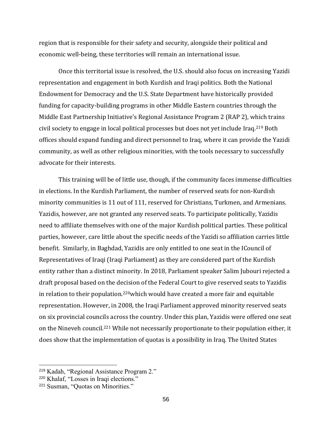region that is responsible for their safety and security, alongside their political and economic well-being, these territories will remain an international issue.

Once this territorial issue is resolved, the U.S. should also focus on increasing Yazidi representation and engagement in both Kurdish and Iraqi politics. Both the National Endowment for Democracy and the U.S. State Department have historically provided funding for capacity-building programs in other Middle Eastern countries through the Middle East Partnership Initiative's Regional Assistance Program 2 (RAP 2), which trains civil society to engage in local political processes but does not yet include Iraq.<sup>219</sup> Both offices should expand funding and direct personnel to Iraq, where it can provide the Yazidi community, as well as other religious minorities, with the tools necessary to successfully advocate for their interests.

This training will be of little use, though, if the community faces immense difficulties in elections. In the Kurdish Parliament, the number of reserved seats for non-Kurdish minority communities is 11 out of 111, reserved for Christians, Turkmen, and Armenians. Yazidis, however, are not granted any reserved seats. To participate politically, Yazidis need to affiliate themselves with one of the major Kurdish political parties. These political parties, however, care little about the specific needs of the Yazidi so affiliation carries little benefit. Similarly, in Baghdad, Yazidis are only entitled to one seat in the ICouncil of Representatives of Iraqi (Iraqi Parliament) as they are considered part of the Kurdish entity rather than a distinct minority. In 2018, Parliament speaker Salim Jubouri rejected a draft proposal based on the decision of the Federal Court to give reserved seats to Yazidis in relation to their population.220which would have created a more fair and equitable representation. However, in 2008, the Iraqi Parliament approved minority reserved seats on six provincial councils across the country. Under this plan, Yazidis were offered one seat on the Nineveh council.<sup>221</sup> While not necessarily proportionate to their population either, it does show that the implementation of quotas is a possibility in Iraq. The United States

<sup>219</sup> Kadah, "Regional Assistance Program 2."

<sup>&</sup>lt;sup>220</sup> Khalaf, "Losses in Iraqi elections."

<sup>221</sup> Susman, "Quotas on Minorities."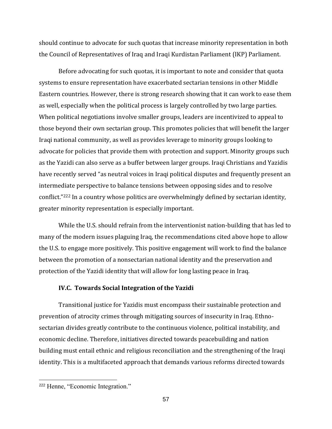should continue to advocate for such quotas that increase minority representation in both the Council of Representatives of Iraq and Iraqi Kurdistan Parliament (IKP) Parliament.

Before advocating for such quotas, it is important to note and consider that quota systems to ensure representation have exacerbated sectarian tensions in other Middle Eastern countries. However, there is strong research showing that it can work to ease them as well, especially when the political process is largely controlled by two large parties. When political negotiations involve smaller groups, leaders are incentivized to appeal to those beyond their own sectarian group. This promotes policies that will benefit the larger Iraqi national community, as well as provides leverage to minority groups looking to advocate for policies that provide them with protection and support. Minority groups such as the Yazidi can also serve as a buffer between larger groups. Iraqi Christians and Yazidis have recently served "as neutral voices in Iraqi political disputes and frequently present an intermediate perspective to balance tensions between opposing sides and to resolve conflict."<sup>222</sup> In a country whose politics are overwhelmingly defined by sectarian identity, greater minority representation is especially important.

While the U.S. should refrain from the interventionist nation-building that has led to many of the modern issues plaguing Iraq, the recommendations cited above hope to allow the U.S. to engage more positively. This positive engagement will work to find the balance between the promotion of a nonsectarian national identity and the preservation and protection of the Yazidi identity that will allow for long lasting peace in Iraq.

#### **IV.C. Towards Social Integration of the Yazidi**

Transitional justice for Yazidis must encompass their sustainable protection and prevention of atrocity crimes through mitigating sources of insecurity in Iraq. Ethnosectarian divides greatly contribute to the continuous violence, political instability, and economic decline. Therefore, initiatives directed towards peacebuilding and nation building must entail ethnic and religious reconciliation and the strengthening of the Iraqi identity. This is a multifaceted approach that demands various reforms directed towards

<sup>222</sup> Henne, "Economic Integration."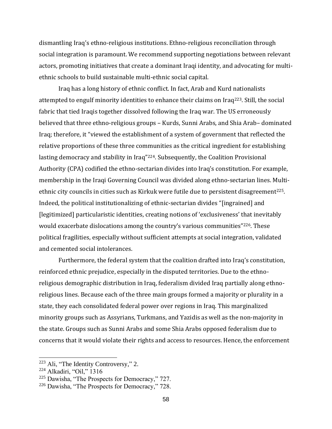dismantling Iraq's ethno-religious institutions. Ethno-religious reconciliation through social integration is paramount. We recommend supporting negotiations between relevant actors, promoting initiatives that create a dominant Iraqi identity, and advocating for multiethnic schools to build sustainable multi-ethnic social capital.

Iraq has a long history of ethnic conflict. In fact, Arab and Kurd nationalists attempted to engulf minority identities to enhance their claims on Iraq<sup>223</sup>. Still, the social fabric that tied Iraqis together dissolved following the Iraq war. The US erroneously believed that three ethno-religious groups – Kurds, Sunni Arabs, and Shia Arab– dominated Iraq; therefore, it "viewed the establishment of a system of government that reflected the relative proportions of these three communities as the critical ingredient for establishing lasting democracy and stability in Iraq"224. Subsequently, the Coalition Provisional Authority (CPA) codified the ethno-sectarian divides into Iraq's constitution. For example, membership in the Iraqi Governing Council was divided along ethno-sectarian lines. Multiethnic city councils in cities such as Kirkuk were futile due to persistent disagreement<sup>225</sup>. Indeed, the political institutionalizing of ethnic-sectarian divides "[ingrained] and [legitimized] particularistic identities, creating notions of 'exclusiveness' that inevitably would exacerbate dislocations among the country's various communities"<sup>226</sup>. These political fragilities, especially without sufficient attempts at social integration, validated and cemented social intolerances.

Furthermore, the federal system that the coalition drafted into Iraq's constitution, reinforced ethnic prejudice, especially in the disputed territories. Due to the ethnoreligious demographic distribution in Iraq, federalism divided Iraq partially along ethnoreligious lines. Because each of the three main groups formed a majority or plurality in a state, they each consolidated federal power over regions in Iraq. This marginalized minority groups such as Assyrians, Turkmans, and Yazidis as well as the non-majority in the state. Groups such as Sunni Arabs and some Shia Arabs opposed federalism due to concerns that it would violate their rights and access to resources. Hence, the enforcement

<sup>223</sup> Ali, "The Identity Controversy," 2.

<sup>224</sup> Alkadiri, "Oil," 1316

<sup>225</sup> Dawisha, "The Prospects for Democracy," 727.

<sup>226</sup> Dawisha, "The Prospects for Democracy," 728.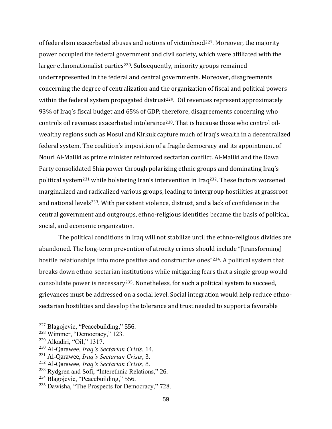of federalism exacerbated abuses and notions of victimhood<sup>227</sup>. Moreover, the majority power occupied the federal government and civil society, which were affiliated with the larger ethnonationalist parties<sup>228</sup>. Subsequently, minority groups remained underrepresented in the federal and central governments. Moreover, disagreements concerning the degree of centralization and the organization of fiscal and political powers within the federal system propagated distrust<sup>229</sup>. Oil revenues represent approximately 93% of Iraq's fiscal budget and 65% of GDP; therefore, disagreements concerning who controls oil revenues exacerbated intolerance230. That is because those who control oilwealthy regions such as Mosul and Kirkuk capture much of Iraq's wealth in a decentralized federal system. The coalition's imposition of a fragile democracy and its appointment of Nouri Al-Maliki as prime minister reinforced sectarian conflict. Al-Maliki and the Dawa Party consolidated Shia power through polarizing ethnic groups and dominating Iraq's political system<sup>231</sup> while bolstering Iran's intervention in Iraq<sup>232</sup>. These factors worsened marginalized and radicalized various groups, leading to intergroup hostilities at grassroot and national levels233. With persistent violence, distrust, and a lack of confidence in the central government and outgroups, ethno-religious identities became the basis of political, social, and economic organization.

The political conditions in Iraq will not stabilize until the ethno-religious divides are abandoned. The long-term prevention of atrocity crimes should include "[transforming] hostile relationships into more positive and constructive ones"<sup>234</sup>. A political system that breaks down ethno-sectarian institutions while mitigating fears that a single group would consolidate power is necessary235. Nonetheless, for such a political system to succeed, grievances must be addressed on a social level. Social integration would help reduce ethnosectarian hostilities and develop the tolerance and trust needed to support a favorable

 $227$  Blagojevic, "Peacebuilding," 556.

<sup>228</sup> Wimmer, "Democracy," 123.

<sup>229</sup> Alkadiri, "Oil," 1317.

<sup>230</sup> Al-Qarawee, *Iraq's Sectarian Crisis*, 14.

<sup>231</sup> Al-Qarawee, *Iraq's Sectarian Crisis*, 3.

<sup>232</sup> Al-Qarawee, *Iraq's Sectarian Crisis*, 8.

<sup>&</sup>lt;sup>233</sup> Rydgren and Sofi, "Interethnic Relations," 26.

<sup>&</sup>lt;sup>234</sup> Blagojevic, "Peacebuilding," 556.

<sup>&</sup>lt;sup>235</sup> Dawisha, "The Prospects for Democracy," 728.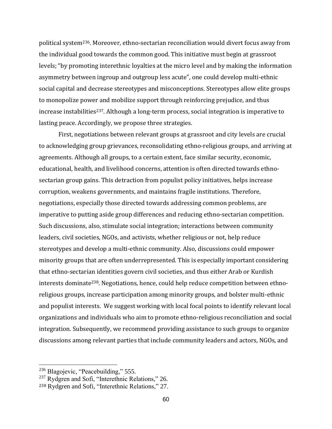political system236. Moreover, ethno-sectarian reconciliation would divert focus away from the individual good towards the common good. This initiative must begin at grassroot levels; "by promoting interethnic loyalties at the micro level and by making the information asymmetry between ingroup and outgroup less acute", one could develop multi-ethnic social capital and decrease stereotypes and misconceptions. Stereotypes allow elite groups to monopolize power and mobilize support through reinforcing prejudice, and thus increase instabilities<sup>237</sup>. Although a long-term process, social integration is imperative to lasting peace. Accordingly, we propose three strategies.

First, negotiations between relevant groups at grassroot and city levels are crucial to acknowledging group grievances, reconsolidating ethno-religious groups, and arriving at agreements. Although all groups, to a certain extent, face similar security, economic, educational, health, and livelihood concerns, attention is often directed towards ethnosectarian group gains. This detraction from populist policy initiatives, helps increase corruption, weakens governments, and maintains fragile institutions. Therefore, negotiations, especially those directed towards addressing common problems, are imperative to putting aside group differences and reducing ethno-sectarian competition. Such discussions, also, stimulate social integration; interactions between community leaders, civil societies, NGOs, and activists, whether religious or not, help reduce stereotypes and develop a multi-ethnic community. Also, discussions could empower minority groups that are often underrepresented. This is especially important considering that ethno-sectarian identities govern civil societies, and thus either Arab or Kurdish interests dominate<sup>238</sup>. Negotiations, hence, could help reduce competition between ethnoreligious groups, increase participation among minority groups, and bolster multi-ethnic and populist interests. We suggest working with local focal points to identify relevant local organizations and individuals who aim to promote ethno-religious reconciliation and social integration. Subsequently, we recommend providing assistance to such groups to organize discussions among relevant parties that include community leaders and actors, NGOs, and

<sup>&</sup>lt;sup>236</sup> Blagojevic, "Peacebuilding," 555.

 $237$  Rydgren and Sofi, "Interethnic Relations," 26.

<sup>238</sup> Rydgren and Sofi, "Interethnic Relations," 27.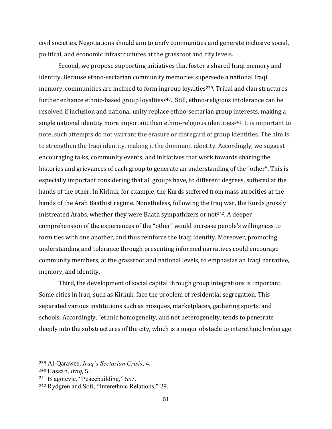civil societies. Negotiations should aim to unify communities and generate inclusive social, political, and economic infrastructures at the grassroot and city levels.

Second, we propose supporting initiatives that foster a shared Iraqi memory and identity. Because ethno-sectarian community memories supersede a national Iraqi memory, communities are inclined to form ingroup loyalties<sup>239</sup>. Tribal and clan structures further enhance ethnic-based group loyalties<sup>240</sup>. Still, ethno-religious intolerance can be resolved if inclusion and national unity replace ethno-sectarian group interests, making a single national identity more important than ethno-religious identities<sup>241</sup>. It is important to note, such attempts do not warrant the erasure or disregard of group identities. The aim is to strengthen the Iraqi identity, making it the dominant identity. Accordingly, we suggest encouraging talks, community events, and initiatives that work towards sharing the histories and grievances of each group to generate an understanding of the "other". This is especially important considering that all groups have, to different degrees, suffered at the hands of the other. In Kirkuk, for example, the Kurds suffered from mass atrocities at the hands of the Arab Baathist regime. Nonetheless, following the Iraq war, the Kurds grossly mistreated Arabs, whether they were Baath sympathizers or not $242$ . A deeper comprehension of the experiences of the "other" would increase people's willingness to form ties with one another, and thus reinforce the Iraqi identity. Moreover, promoting understanding and tolerance through presenting informed narratives could encourage community members, at the grassroot and national levels, to emphasize an Iraqi narrative, memory, and identity.

Third, the development of social capital through group integrations is important. Some cities in Iraq, such as Kirkuk, face the problem of residential segregation. This separated various institutions such as mosques, marketplaces, gathering sports, and schools. Accordingly, "ethnic homogeneity, and not heterogeneity, tends to penetrate deeply into the substructures of the city, which is a major obstacle to interethnic brokerage

<sup>239</sup> Al-Qarawee, *Iraq's Sectarian Crisis*, 4.

<sup>240</sup> Hassan, *Iraq*, 5.

<sup>241</sup> Blagojevic, "Peacebuilding," 557.

<sup>242</sup> Rydgren and Sofi, "Interethnic Relations," 29.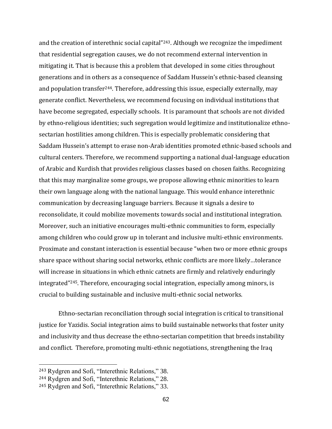and the creation of interethnic social capital"243. Although we recognize the impediment that residential segregation causes, we do not recommend external intervention in mitigating it. That is because this a problem that developed in some cities throughout generations and in others as a consequence of Saddam Hussein's ethnic-based cleansing and population transfer<sup>244</sup>. Therefore, addressing this issue, especially externally, may generate conflict. Nevertheless, we recommend focusing on individual institutions that have become segregated, especially schools. It is paramount that schools are not divided by ethno-religious identities; such segregation would legitimize and institutionalize ethnosectarian hostilities among children. This is especially problematic considering that Saddam Hussein's attempt to erase non-Arab identities promoted ethnic-based schools and cultural centers. Therefore, we recommend supporting a national dual-language education of Arabic and Kurdish that provides religious classes based on chosen faiths. Recognizing that this may marginalize some groups, we propose allowing ethnic minorities to learn their own language along with the national language. This would enhance interethnic communication by decreasing language barriers. Because it signals a desire to reconsolidate, it could mobilize movements towards social and institutional integration. Moreover, such an initiative encourages multi-ethnic communities to form, especially among children who could grow up in tolerant and inclusive multi-ethnic environments. Proximate and constant interaction is essential because "when two or more ethnic groups share space without sharing social networks, ethnic conflicts are more likely…tolerance will increase in situations in which ethnic catnets are firmly and relatively enduringly integrated"245. Therefore, encouraging social integration, especially among minors, is crucial to building sustainable and inclusive multi-ethnic social networks.

Ethno-sectarian reconciliation through social integration is critical to transitional justice for Yazidis. Social integration aims to build sustainable networks that foster unity and inclusivity and thus decrease the ethno-sectarian competition that breeds instability and conflict. Therefore, promoting multi-ethnic negotiations, strengthening the Iraq

<sup>243</sup> Rydgren and Sofi, "Interethnic Relations," 38.

<sup>244</sup> Rydgren and Sofi, "Interethnic Relations," 28.

<sup>245</sup> Rydgren and Sofi, "Interethnic Relations," 33.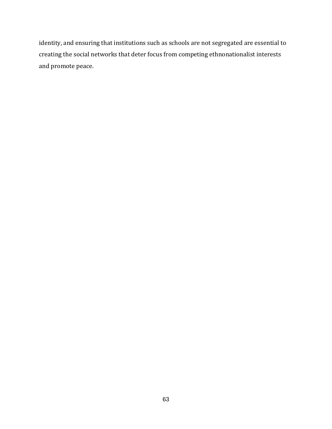identity, and ensuring that institutions such as schools are not segregated are essential to creating the social networks that deter focus from competing ethnonationalist interests and promote peace.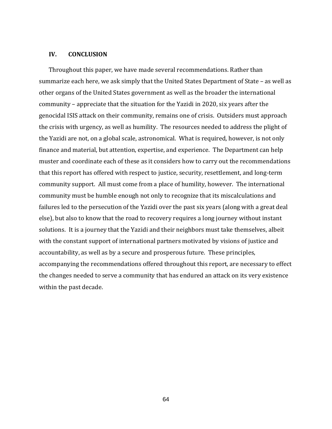#### **IV. CONCLUSION**

Throughout this paper, we have made several recommendations. Rather than summarize each here, we ask simply that the United States Department of State – as well as other organs of the United States government as well as the broader the international community – appreciate that the situation for the Yazidi in 2020, six years after the genocidal ISIS attack on their community, remains one of crisis. Outsiders must approach the crisis with urgency, as well as humility. The resources needed to address the plight of the Yazidi are not, on a global scale, astronomical. What is required, however, is not only finance and material, but attention, expertise, and experience. The Department can help muster and coordinate each of these as it considers how to carry out the recommendations that this report has offered with respect to justice, security, resettlement, and long-term community support. All must come from a place of humility, however. The international community must be humble enough not only to recognize that its miscalculations and failures led to the persecution of the Yazidi over the past six years (along with a great deal else), but also to know that the road to recovery requires a long journey without instant solutions. It is a journey that the Yazidi and their neighbors must take themselves, albeit with the constant support of international partners motivated by visions of justice and accountability, as well as by a secure and prosperous future. These principles, accompanying the recommendations offered throughout this report, are necessary to effect the changes needed to serve a community that has endured an attack on its very existence within the past decade.

64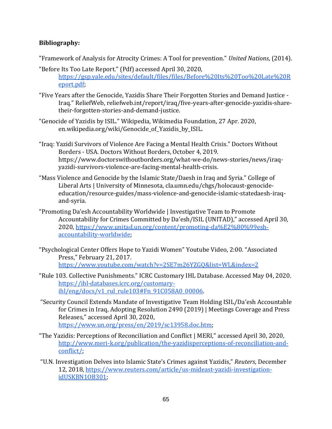# **Bibliography:**

"Framework of Analysis for Atrocity Crimes: A Tool for prevention." *United Nations*, (2014).

- "Before Its Too Late Report." (Pdf) accessed April 30, 202[0,](https://gsp.yale.edu/sites/default/files/files/Before%2520Its%2520Too%2520Late%2520Report.pdf) [https://gsp.yale.edu/sites/default/files/files/Before%20Its%20Too%20Late%20R](https://gsp.yale.edu/sites/default/files/files/Before%2520Its%2520Too%2520Late%2520Report.pdf) [eport.pdf;](https://gsp.yale.edu/sites/default/files/files/Before%2520Its%2520Too%2520Late%2520Report.pdf)
- "Five Years after the Genocide, Yazidis Share Their Forgotten Stories and Demand Justice Iraq." ReliefWeb, reliefweb.int/report/iraq/five-years-after-genocide-yazidis-sharetheir-forgotten-stories-and-demand-justice.
- "Genocide of Yazidis by ISIL." Wikipedia, Wikimedia Foundation, 27 Apr. 2020, en.wikipedia.org/wiki/Genocide\_of\_Yazidis\_by\_ISIL.
- "Iraq: Yazidi Survivors of Violence Are Facing a Mental Health Crisis." Doctors Without Borders - USA. Doctors Without Borders, October 4, 2019. https://www.doctorswithoutborders.org/what-we-do/news-stories/news/iraqyazidi-survivors-violence-are-facing-mental-health-crisis.
- "Mass Violence and Genocide by the Islamic State/Daesh in Iraq and Syria." College of Liberal Arts | University of Minnesota, cla.umn.edu/chgs/holocaust-genocideeducation/resource-guides/mass-violence-and-genocide-islamic-statedaesh-iraqand-syria.
- "Promoting Da'esh Accountability Worldwide | Investigative Team to Promote Accountability for Crimes Committed by Da'esh/ISIL (UNITAD)," accessed April 30, 2020, [https://www.unitad.un.org/content/promoting-da%E2%80%99esh](https://www.unitad.un.org/content/promoting-da%25E2%2580%2599esh-accountability-worldwide)[accountability-worldwide;](https://www.unitad.un.org/content/promoting-da%25E2%2580%2599esh-accountability-worldwide)
- "Psychological Center Offers Hope to Yazidi Women" Youtube Video, 2:00. "Associated Press," February 21, 2017. <https://www.youtube.com/watch?v=2SE7m26YZGQ&list=WL&index=2>
- "Rule 103. Collective Punishments." ICRC Customary IHL Database. Accessed May 04, 2020. [https://ihl-databases.icrc.org/customary](https://ihl-databases.icrc.org/customary-ihl/eng/docs/v1_rul_rule103#Fn_91C058A0_00006)[ihl/eng/docs/v1\\_rul\\_rule103#Fn\\_91C058A0\\_00006.](https://ihl-databases.icrc.org/customary-ihl/eng/docs/v1_rul_rule103#Fn_91C058A0_00006)
- "Security Council Extends Mandate of Investigative Team Holding ISIL/Da'esh Accountable for Crimes in Iraq, Adopting Resolution 2490 (2019) | Meetings Coverage and Press Releases," accessed April 30, 202[0,](https://www.un.org/press/en/2019/sc13958.doc.htm) [https://www.un.org/press/en/2019/sc13958.doc.htm;](https://www.un.org/press/en/2019/sc13958.doc.htm)
- "The Yazidis: Perceptions of Reconciliation and Conflict | MERI," accessed April 30, 2020[,](http://www.meri-k.org/publication/the-yazidisperceptions-of-reconciliation-and-conflict/) [http://www.meri-k.org/publication/the-yazidisperceptions-of-reconciliation-and](http://www.meri-k.org/publication/the-yazidisperceptions-of-reconciliation-and-conflict/)[conflict/;](http://www.meri-k.org/publication/the-yazidisperceptions-of-reconciliation-and-conflict/)
- "U.N. Investigation Delves into Islamic State's Crimes against Yazidis," *Reuters*, December 12, 2018[,](https://www.reuters.com/article/us-mideast-yazidi-investigation-idUSKBN1OB301) [https://www.reuters.com/article/us-mideast-yazidi-investigation](https://www.reuters.com/article/us-mideast-yazidi-investigation-idUSKBN1OB301)[idUSKBN1OB301;](https://www.reuters.com/article/us-mideast-yazidi-investigation-idUSKBN1OB301)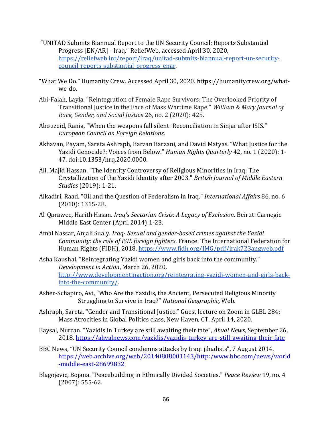- "UNITAD Submits Biannual Report to the UN Security Council; Reports Substantial Progress [EN/AR] - Iraq," ReliefWeb, accessed April 30, 2020[,](https://reliefweb.int/report/iraq/unitad-submits-biannual-report-un-security-council-reports-substantial-progress-enar) [https://reliefweb.int/report/iraq/unitad-submits-biannual-report-un-security](https://reliefweb.int/report/iraq/unitad-submits-biannual-report-un-security-council-reports-substantial-progress-enar)[council-reports-substantial-progress-enar.](https://reliefweb.int/report/iraq/unitad-submits-biannual-report-un-security-council-reports-substantial-progress-enar)
- "What We Do." Humanity Crew. Accessed April 30, 2020. https://humanitycrew.org/whatwe-do.
- Abi-Falah, Layla. "Reintegration of Female Rape Survivors: The Overlooked Priority of Transitional Justice in the Face of Mass Wartime Rape." *William & Mary Journal of Race, Gender, and Social Justice* 26, no. 2 (2020): 425.
- Abouzeid, Rania, "When the weapons fall silent: Reconciliation in Sinjar after ISIS." *European Council on Foreign Relations*.
- Akhavan, Payam, Sareta Ashraph, Barzan Barzani, and David Matyas. "What Justice for the Yazidi Genocide?: Voices from Below." *Human Rights Quarterly* 42, no. 1 (2020): 1- 47. doi:10.1353/hrq.2020.0000.
- Ali, Majid Hassan. "The Identity Controversy of Religious Minorities in Iraq: The Crystallization of the Yazidi Identity after 2003." *British Journal of Middle Eastern Studies* (2019): 1-21.
- Alkadiri, Raad. "Oil and the Question of Federalism in Iraq." *International Affairs* 86, no. 6 (2010): 1315-28.
- Al-Qarawee, Harith Hasan. *Iraq's Sectarian Crisis: A Legacy of Exclusion*. Beirut: Carnegie Middle East Center (April 2014):1-23.
- Amal Nassar, Anjali Sualy. *Iraq- Sexual and gender-based crimes against the Yazidi Community: the role of ISIL foreign fighters*. France: The International Federation for Human Rights (FIDH), 2018.<https://www.fidh.org/IMG/pdf/irak723angweb.pdf>
- Asha Kaushal. "Reintegrating Yazidi women and girls back into the community." *Development in Action*, March 26, 2020. [http://www.developmentinaction.org/reintegrating-yazidi-women-and-girls-back](http://www.developmentinaction.org/reintegrating-yazidi-women-and-girls-back-into-the-community/)[into-the-community/.](http://www.developmentinaction.org/reintegrating-yazidi-women-and-girls-back-into-the-community/)
- Asher-Schapiro, Avi, "Who Are the Yazidis, the Ancient, Persecuted Religious Minority Struggling to Survive in Iraq?" *National Geographic,* Web.
- Ashraph, Sareta. "Gender and Transitional Justice." Guest lecture on Zoom in GLBL 284: Mass Atrocities in Global Politics class, New Haven, CT, April 14, 2020.
- Baysal, Nurcan. "Yazidis in Turkey are still awaiting their fate", *Ahval News,* September 26, 2018.<https://ahvalnews.com/yazidis/yazidis-turkey-are-still-awaiting-their-fate>
- BBC News, "UN Security Council condemns attacks by Iraqi jihadists", 7 August 2014. [https://web.archive.org/web/20140808001143/http:/www.bbc.com/news/world](https://web.archive.org/web/20140808001143/http:/www.bbc.com/news/world-middle-east-28699832) [-middle-east-28699832](https://web.archive.org/web/20140808001143/http:/www.bbc.com/news/world-middle-east-28699832)
- Blagojevic, Bojana. "Peacebuilding in Ethnically Divided Societies." *Peace Review* 19, no. 4 (2007): 555-62.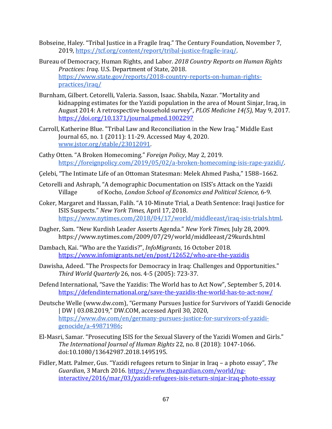- Bobseine, Haley. "Tribal Justice in a Fragile Iraq." The Century Foundation, November 7, 2019, [https://tcf.org/content/report/tribal-justice-fragile-iraq/.](https://tcf.org/content/report/tribal-justice-fragile-iraq/)
- Bureau of Democracy, Human Rights, and Labor. *2018 Country Reports on Human Rights Practices: Iraq.* U.S. Department of State, 2018. [https://www.state.gov/reports/2018-country-reports-on-human-rights](https://www.state.gov/reports/2018-country-reports-on-human-rights-practices/iraq/)[practices/iraq/](https://www.state.gov/reports/2018-country-reports-on-human-rights-practices/iraq/)
- Burnham, Gilbert. Cetorelli, Valeria. Sasson, Isaac. Shabila, Nazar. "Mortality and kidnapping estimates for the Yazidi population in the area of Mount Sinjar, Iraq, in August 2014: A retrospective household survey", *PLOS Medicine 14(5),* May 9, 2017. <https://doi.org/10.1371/journal.pmed.1002297>
- Carroll, Katherine Blue. "Tribal Law and Reconciliation in the New Iraq." Middle East Journal 65, no. 1 (2011): 11-29. Accessed May 4, 2020. [www.jstor.org/stable/23012091.](http://www.jstor.org/stable/23012091)
- Cathy Otten. "A Broken Homecoming." *Foreign Policy*, May 2, 2019. [https://foreignpolicy.com/2019/05/02/a-broken-homecoming-isis-rape-yazidi/.](https://foreignpolicy.com/2019/05/02/a-broken-homecoming-isis-rape-yazidi/)
- Çelebi, "The Intimate Life of an Ottoman Statesman: Melek Ahmed Pasha," 1588–1662.
- Cetorelli and Ashraph, "A demographic Documentation on ISIS's Attack on the Yazidi Village of Kocho, *London School of Economics and Political Science,* 6-9.
- Coker, Margaret and Hassan, Falih. "A 10-Minute Trial, a Death Sentence: Iraqi Justice for ISIS Suspects." *New York Times,* April 17, 2018. [https://www.nytimes.com/2018/04/17/world/middleeast/iraq-isis-trials.html.](https://www.nytimes.com/2018/04/17/world/middleeast/iraq-isis-trials.html)
- Dagher, Sam. "New Kurdish Leader Asserts Agenda." *New York Times,* July 28, 2009. https://www.nytimes.com/2009/07/29/world/middleeast/29kurds.html
- Dambach, Kai. "Who are the Yazidis?", *InfoMigrants*, 16 October 2018. <https://www.infomigrants.net/en/post/12652/who-are-the-yazidis>
- Dawisha, Adeed. "The Prospects for Democracy in Iraq: Challenges and Opportunities." *Third World Quarterly* 26, nos. 4-5 (2005): 723-37.
- Defend International, "Save the Yazidis: The World has to Act Now", September 5, 2014. <https://defendinternational.org/save-the-yazidis-the-world-has-to-act-now/>
- Deutsche Welle (www.dw.com), "Germany Pursues Justice for Survivors of Yazidi Genocide | DW | 03.08.2019," DW.COM, accessed April 30, 202[0,](https://www.dw.com/en/germany-pursues-justice-for-survivors-of-yazidi-genocide/a-49871986) [https://www.dw.com/en/germany-pursues-justice-for-survivors-of-yazidi](https://www.dw.com/en/germany-pursues-justice-for-survivors-of-yazidi-genocide/a-49871986)[genocide/a-49871986;](https://www.dw.com/en/germany-pursues-justice-for-survivors-of-yazidi-genocide/a-49871986)
- El-Masri, Samar. "Prosecuting ISIS for the Sexual Slavery of the Yazidi Women and Girls." *The International Journal of Human Rights* 22, no. 8 (2018): 1047-1066. doi:10.1080/13642987.2018.1495195.
- Fidler, Matt. Palmer, Gus. "Yazidi refugees return to Sinjar in Iraq a photo essay", *The Guardian*, 3 March 2016. [https://www.theguardian.com/world/ng](https://www.theguardian.com/world/ng-interactive/2016/mar/03/yazidi-refugees-isis-return-sinjar-iraq-photo-essay)[interactive/2016/mar/03/yazidi-refugees-isis-return-sinjar-iraq-photo-essay](https://www.theguardian.com/world/ng-interactive/2016/mar/03/yazidi-refugees-isis-return-sinjar-iraq-photo-essay)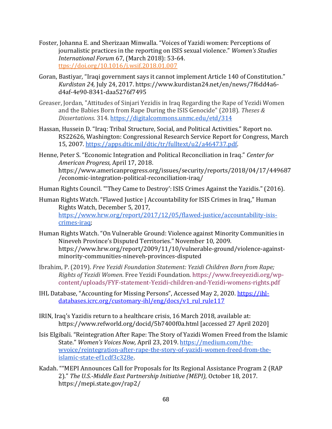- Foster, Johanna E. and Sherizaan Minwalla. "Voices of Yazidi women: Perceptions of journalistic practices in the reporting on ISIS sexual violence." *Women's Studies International Forum* 67, (March 2018): 53-64. [ttps://doi.org/10.1016/j.wsif.2018.01.007](https://doi.org/10.1016/j.wsif.2018.01.007)
- Goran, Bastiyar, "Iraqi government says it cannot implement Article 140 of Constitution." *Kurdistan 24,* July 24, 2017. https://www.kurdistan24.net/en/news/7f6dd4a6 d4af-4e90-8341-daa5276f7495
- Greaser, Jordan, "Attitudes of Sinjari Yezidis in Iraq Regarding the Rape of Yezidi Women and the Babies Born from Rape During the ISIS Genocide" (2018). *Theses & Dissertations*. 314.<https://digitalcommons.unmc.edu/etd/314>
- Hassan, Hussein D. "Iraq: Tribal Structure, Social, and Political Activities." Report no. RS22626, Washington: Congressional Research Service Report for Congress, March 15, 2007. [https://apps.dtic.mil/dtic/tr/fulltext/u2/a464737.pdf.](https://apps.dtic.mil/dtic/tr/fulltext/u2/a464737.pdf)
- Henne, Peter S. "Economic Integration and Political Reconciliation in Iraq." *Center for American Progress,* April 17, 2018. https://www.americanprogress.org/issues/security/reports/2018/04/17/449687 /economic-integration-political-reconciliation-iraq/

Human Rights Council. "'They Came to Destroy': ISIS Crimes Against the Yazidis." (2016).

- Human Rights Watch. "Flawed Justice | Accountability for ISIS Crimes in Iraq," Human Rights Watch, December 5, 2017[,](https://www.hrw.org/report/2017/12/05/flawed-justice/accountability-isis-crimes-iraq) [https://www.hrw.org/report/2017/12/05/flawed-justice/accountability-isis](https://www.hrw.org/report/2017/12/05/flawed-justice/accountability-isis-crimes-iraq)[crimes-iraq;](https://www.hrw.org/report/2017/12/05/flawed-justice/accountability-isis-crimes-iraq)
- Human Rights Watch. "On Vulnerable Ground: Violence against Minority Communities in Nineveh Province's Disputed Territories." November 10, 2009. https://www.hrw.org/report/2009/11/10/vulnerable-ground/violence-againstminority-communities-nineveh-provinces-disputed
- Ibrahim, P. (2019). *Free Yezidi Foundation Statement: Yezidi Children Born from Rape; Rights of Yezidi Women*. Free Yezidi Foundation. https://www.freeyezidi.org/wpcontent/uploads/FYF-statement-Yezidi-children-and-Yezidi-womens-rights.pdf
- IHL Database, "Accounting for Missing Persons", Accessed May 2, 2020. [https://ihl](https://ihl-databases.icrc.org/customary-ihl/eng/docs/v1_rul_rule117)[databases.icrc.org/customary-ihl/eng/docs/v1\\_rul\\_rule117](https://ihl-databases.icrc.org/customary-ihl/eng/docs/v1_rul_rule117)
- IRIN, Iraq's Yazidis return to a healthcare crisis, 16 March 2018, available at: https://www.refworld.org/docid/5b7400f0a.html [accessed 27 April 2020]
- Isis Elgibali. "Reintegration After Rape: The Story of Yazidi Women Freed from the Islamic State." *Women's Voices Now, April 23, 2019*. [https://medium.com/the](https://medium.com/the-wvoice/reintegration-after-rape-the-story-of-yazidi-women-freed-from-the-islamic-state-ef1cdf3c328e)[wvoice/reintegration-after-rape-the-story-of-yazidi-women-freed-from-the](https://medium.com/the-wvoice/reintegration-after-rape-the-story-of-yazidi-women-freed-from-the-islamic-state-ef1cdf3c328e)[islamic-state-ef1cdf3c328e.](https://medium.com/the-wvoice/reintegration-after-rape-the-story-of-yazidi-women-freed-from-the-islamic-state-ef1cdf3c328e)
- Kadah. ""MEPI Announces Call for Proposals for Its Regional Assistance Program 2 (RAP 2)." *The U.S.-Middle East Partnership Initiative (MEPI),* October 18, 2017. https://mepi.state.gov/rap2/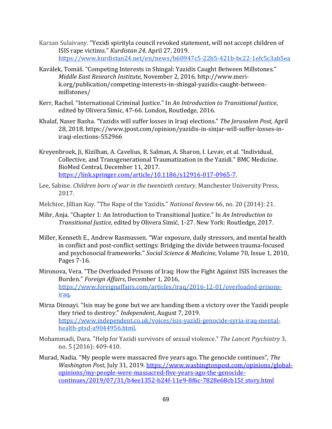- Karzan Sulaivany. "Yezidi spirityla council revoked statement, will not accept children of ISIS rape victims." *Kurdistan 24*, April 27, 2019. <https://www.kurdistan24.net/en/news/b60947c5-22b5-421b-bc22-1efc5c3ab5ea>
- [Kaválek](http://www.meri-k.org/author/tomas-kavalek), Tomáš. "Competing Interests in Shingal: Yazidis Caught Between Millstones." *Middle East Research Institute,* November 2, 2016. http://www.merik.org/publication/competing-interests-in-shingal-yazidis-caught-betweenmillstones/
- Kerr, Rachel. "International Criminal Justice." In *An Introduction to Transitional Justice*, edited by Olivera Simic, 47-66. London, Routledge, 2016.
- Khalaf, Naser Basha. "Yazidis will suffer losses in Iraqi elections." *The Jerusalem Post,* April 28, 2018. https://www.jpost.com/opinion/yazidis-in-sinjar-will-suffer-losses-iniraqi-elections-552966
- Kreyenbroek, Ji, Kizilhan, A. Cavelius, R. Salman, A. Sharon, I. Levav, et al. "Individual, Collective, and Transgenerational Traumatization in the Yazidi." BMC Medicine. BioMed Central, December 11, 2017. [https://link.springer.com/article/10.1186/s12916-017-0965-7.](https://link.springer.com/article/10.1186/s12916-017-0965-7)
- Lee, Sabine. *Children born of war in the twentieth century*. Manchester University Press, 2017.
- Melchior, Jillian Kay. "The Rape of the Yazidis." *National Review* 66, no. 20 (2014): 21.
- Mihr, Anja. "Chapter 1: An Introduction to Transitional Justice." In *An Introduction to Transitional Justice*, edited by Olivera Simić, 1-27. New York: Routledge, 2017.
- Miller, Kenneth E., Andrew Rasmussen. "War exposure, daily stressors, and mental health in conflict and post-conflict settings: Bridging the divide between trauma-focused and psychosocial frameworks." *Social Science & Medicine*, Volume 70, Issue 1, 2010, Pages 7-16.
- Mironova, Vera. "The Overloaded Prisons of Iraq: How the Fight Against ISIS Increases the Burden." *Foreign Affairs*, December 1, 2016, [https://www.foreignaffairs.com/articles/iraq/2016-12-01/overloaded-prisons](https://www.foreignaffairs.com/articles/iraq/2016-12-01/overloaded-prisons-iraq)[iraq.](https://www.foreignaffairs.com/articles/iraq/2016-12-01/overloaded-prisons-iraq)
- Mirza Dinnayi. "Isis may be gone but we are handing them a victory over the Yazidi people they tried to destroy." *Independent*, August 7, 2019. [https://www.independent.co.uk/voices/isis-yazidi-genocide-syria-iraq-mental](https://www.independent.co.uk/voices/isis-yazidi-genocide-syria-iraq-mental-health-ptsd-a9044956.html)[health-ptsd-a9044956.html.](https://www.independent.co.uk/voices/isis-yazidi-genocide-syria-iraq-mental-health-ptsd-a9044956.html)
- Mohammadi, Dara. "Help for Yazidi survivors of sexual violence." *The Lancet Psychiatry* 3, no. 5 (2016): 409-410.
- Murad, Nadia. "My people were massacred five years ago. The genocide continues", *The Washington Post,* July 31, 2019. [https://www.washingtonpost.com/opinions/global](https://www.washingtonpost.com/opinions/global-opinions/my-people-were-massacred-five-years-ago-the-genocide-continues/2019/07/31/b4ee1352-b24f-11e9-8f6c-7828e68cb15f_story.html)[opinions/my-people-were-massacred-five-years-ago-the-genocide](https://www.washingtonpost.com/opinions/global-opinions/my-people-were-massacred-five-years-ago-the-genocide-continues/2019/07/31/b4ee1352-b24f-11e9-8f6c-7828e68cb15f_story.html)[continues/2019/07/31/b4ee1352-b24f-11e9-8f6c-7828e68cb15f\\_story.html](https://www.washingtonpost.com/opinions/global-opinions/my-people-were-massacred-five-years-ago-the-genocide-continues/2019/07/31/b4ee1352-b24f-11e9-8f6c-7828e68cb15f_story.html)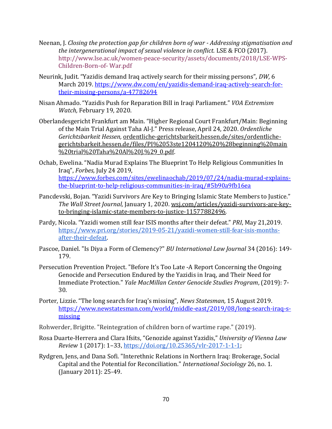- Neenan, J. *Closing the protection gap for children born of war - Addressing stigmatisation and the intergenerational impact of sexual violence in conflict.* LSE & FCO (2017). http://www.lse.ac.uk/women-peace-security/assets/documents/2018/LSE-WPS-Children-Born-of- War.pdf
- Neurink, Judit. "Yazidis demand Iraq actively search for their missing persons", *DW,* 6 March 2019. [https://www.dw.com/en/yazidis-demand-iraq-actively-search-for](https://www.dw.com/en/yazidis-demand-iraq-actively-search-for-their-missing-persons/a-47782694)[their-missing-persons/a-47782694](https://www.dw.com/en/yazidis-demand-iraq-actively-search-for-their-missing-persons/a-47782694)
- Nisan Ahmado. "Yazidis Push for Reparation Bill in Iraqi Parliament." *VOA Extremism Watch,* February 19, 2020.
- Oberlandesgericht Frankfurt am Main. "Higher Regional Court Frankfurt/Main: Beginning of the Main Trial Against Taha Al-J." Press release, April 24, 2020. *Ordentliche Gerichtsbarkeit Hessen,* [ordentliche-gerichtsbarkeit.hessen.de/sites/ordentliche](https://ordentliche-gerichtsbarkeit.hessen.de/sites/ordentliche-gerichtsbarkeit.hessen.de/files/PI%2053ste1204120%20%28beginning%20main%20trial%20Taha%20Al%20J.%29_0.pdf)[gerichtsbarkeit.hessen.de/files/PI%2053ste1204120%20%28beginning%20main](https://ordentliche-gerichtsbarkeit.hessen.de/sites/ordentliche-gerichtsbarkeit.hessen.de/files/PI%2053ste1204120%20%28beginning%20main%20trial%20Taha%20Al%20J.%29_0.pdf) [%20trial%20Taha%20Al%20J.%29\\_0.pdf.](https://ordentliche-gerichtsbarkeit.hessen.de/sites/ordentliche-gerichtsbarkeit.hessen.de/files/PI%2053ste1204120%20%28beginning%20main%20trial%20Taha%20Al%20J.%29_0.pdf)
- Ochab, Ewelina. "Nadia Murad Explains The Blueprint To Help Religious Communities In Iraq", *Forbes,* July 24 2019, [https://www.forbes.com/sites/ewelinaochab/2019/07/24/nadia-murad-explains](https://www.forbes.com/sites/ewelinaochab/2019/07/24/nadia-murad-explains-the-blueprint-to-help-religious-communities-in-iraq/#5b90a9fb16ea)[the-blueprint-to-help-religious-communities-in-iraq/#5b90a9fb16ea](https://www.forbes.com/sites/ewelinaochab/2019/07/24/nadia-murad-explains-the-blueprint-to-help-religious-communities-in-iraq/#5b90a9fb16ea)
- Pancdevski, Bojan. "Yazidi Survivors Are Key to Bringing Islamic State Members to Justice." *The Wall Street Journal,* January 1, 2020. [wsj.com/articles/yazidi-survivors-are-key](https://www.wsj.com/articles/yazidi-survivors-are-key-to-bringing-islamic-state-members-to-justice-11577882496)[to-bringing-islamic-state-members-to-justice-11577882496](https://www.wsj.com/articles/yazidi-survivors-are-key-to-bringing-islamic-state-members-to-justice-11577882496)*.*
- Pardy, Nicola. "Yazidi women still fear ISIS months after their defeat." *PRI*, May 21,2019. [https://www.pri.org/stories/2019-05-21/yazidi-women-still-fear-isis-months](https://www.pri.org/stories/2019-05-21/yazidi-women-still-fear-isis-months-after-their-defeat)[after-their-defeat.](https://www.pri.org/stories/2019-05-21/yazidi-women-still-fear-isis-months-after-their-defeat)
- Pascoe, Daniel. "Is Diya a Form of Clemency?" *BU International Law Journal* 34 (2016): 149- 179.
- Persecution Prevention Project. "Before It's Too Late -A Report Concerning the Ongoing Genocide and Persecution Endured by the Yazidis in Iraq, and Their Need for Immediate Protection." *Yale MacMillan Center Genocide Studies Program*, (2019): 7- 30.
- Porter, Lizzie. "The long search for Iraq's missing", *News Statesman,* 15 August 2019. [https://www.newstatesman.com/world/middle-east/2019/08/long-search-iraq-s](https://www.newstatesman.com/world/middle-east/2019/08/long-search-iraq-s-missing)[missing](https://www.newstatesman.com/world/middle-east/2019/08/long-search-iraq-s-missing)
- Rohwerder, Brigitte. "Reintegration of children born of wartime rape." (2019).
- Rosa Duarte-Herrera and Clara Ifsits, "Genozide against Yazidis," *University of Vienna Law Review* 1 (2017): 1–33[,](https://doi.org/10.25365/vlr-2017-1-1-1) [https://doi.org/10.25365/vlr-2017-1-1-1;](https://doi.org/10.25365/vlr-2017-1-1-1)
- Rydgren, Jens, and Dana Sofi. "Interethnic Relations in Northern Iraq: Brokerage, Social Capital and the Potential for Reconciliation." *International Sociology* 26, no. 1. (January 2011): 25-49.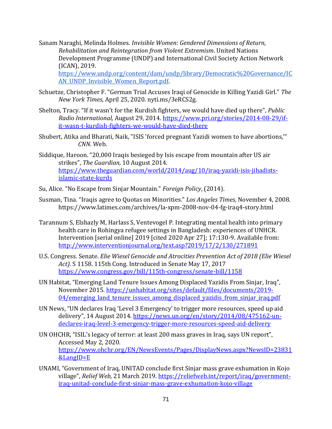Sanam Naraghi, Melinda Holmes. *Invisible Women: Gendered Dimensions of Return, Rehabilitation and Reintegration from Violent Extremism*. United Nations Development Programme (UNDP) and International Civil Society Action Network (ICAN), 2019. [https://www.undp.org/content/dam/undp/library/Democratic%20Governance/IC](https://www.undp.org/content/dam/undp/library/Democratic%20Governance/ICAN_UNDP_Invisible_Women_Report.pdf) AN\_UNDP\_Invisible\_Women\_Report.pdf

- Schuetze, Christopher F. "German Trial Accuses Iraqi of Genocide in Killing Yazidi Girl." *The New York Times*, April 25, 2020. nyti.ms/3eRCS2g.
- Shelton, Tracy. "If it wasn't for the Kurdish fighters, we would have died up there", *Public Radio International,* August 29, 2014. [https://www.pri.org/stories/2014-08-29/if](https://www.pri.org/stories/2014-08-29/if-it-wasn-t-kurdish-fighters-we-would-have-died-there)[it-wasn-t-kurdish-fighters-we-would-have-died-there](https://www.pri.org/stories/2014-08-29/if-it-wasn-t-kurdish-fighters-we-would-have-died-there)
- Shubert, Atika and Bharati, Naik, "ISIS 'forced pregnant Yazidi women to have abortions,'" *CNN.* Web.
- Siddique, Haroon. "20,000 Iraqis besieged by Isis escape from mountain after US air strikes", *The Guardian,* 10 August 2014. [https://www.theguardian.com/world/2014/aug/10/iraq-yazidi-isis-jihadists](https://www.theguardian.com/world/2014/aug/10/iraq-yazidi-isis-jihadists-islamic-state-kurds)[islamic-state-kurds](https://www.theguardian.com/world/2014/aug/10/iraq-yazidi-isis-jihadists-islamic-state-kurds)
- Su, Alice. "No Escape from Sinjar Mountain." *Foreign Policy*, (2014).
- Susman, Tina. "Iraqis agree to Quotas on Minorities." *Los Angeles Times,* November 4, 2008. https://www.latimes.com/archives/la-xpm-2008-nov-04-fg-iraq4-story.html
- Tarannum S, Elshazly M, Harlass S, Ventevogel P. Integrating mental health into primary health care in Rohingya refugee settings in Bangladesh: experiences of UNHCR. Intervention [serial online] 2019 [cited 2020 Apr 27]; 17:130-9. Available from: <http://www.interventionjournal.org/text.asp?2019/17/2/130/271891>
- U.S. Congress. Senate. *Elie Wiesel Genocide and Atrocities Prevention Act of 2018 (Elie Wiesel Act).* S 1158. 115th Cong. Introduced in Senate May 17, 2017 <https://www.congress.gov/bill/115th-congress/senate-bill/1158>
- UN Habitat, "Emerging Land Tenure Issues Among Displaced Yazidis From Sinjar, Iraq", November 2015. [https://unhabitat.org/sites/default/files/documents/2019-](https://unhabitat.org/sites/default/files/documents/2019-04/emerging_land_tenure_issues_among_displaced_yazidis_from_sinjar_iraq.pdf) 04/emerging land tenure issues among displaced yazidis from sinjar iraq.pdf
- UN News, "UN declares Iraq 'Level 3 Emergency' to trigger more resources, speed up aid delivery", 14 August 2014. [https://news.un.org/en/story/2014/08/475162-un](https://news.un.org/en/story/2014/08/475162-un-declares-iraq-level-3-emergency-trigger-more-resources-speed-aid-delivery)[declares-iraq-level-3-emergency-trigger-more-resources-speed-aid-delivery](https://news.un.org/en/story/2014/08/475162-un-declares-iraq-level-3-emergency-trigger-more-resources-speed-aid-delivery)
- UN OHCHR, "ISIL's legacy of terror: at least 200 mass graves in Iraq, says UN report", Accessed May 2, 2020. [https://www.ohchr.org/EN/NewsEvents/Pages/DisplayNews.aspx?NewsID=23831](https://www.ohchr.org/EN/NewsEvents/Pages/DisplayNews.aspx?NewsID=23831&LangID=E) [&LangID=E](https://www.ohchr.org/EN/NewsEvents/Pages/DisplayNews.aspx?NewsID=23831&LangID=E)
- UNAMI, "Government of Iraq, UNITAD conclude first Sinjar mass grave exhumation in Kojo village", *Relief Web,* 21 March 2019. [https://reliefweb.int/report/iraq/government](https://reliefweb.int/report/iraq/government-iraq-unitad-conclude-first-sinjar-mass-grave-exhumation-kojo-village)[iraq-unitad-conclude-first-sinjar-mass-grave-exhumation-kojo-village](https://reliefweb.int/report/iraq/government-iraq-unitad-conclude-first-sinjar-mass-grave-exhumation-kojo-village)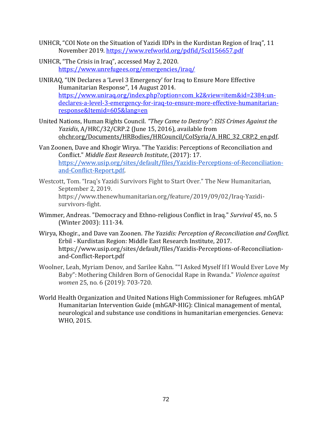- UNHCR, "COI Note on the Situation of Yazidi IDPs in the Kurdistan Region of Iraq", 11 November 2019.<https://www.refworld.org/pdfid/5cd156657.pdf>
- UNHCR, "The Crisis in Iraq", accessed May 2, 2020. <https://www.unrefugees.org/emergencies/iraq/>

UNIRAQ, "UN Declares a 'Level 3 Emergency' for Iraq to Ensure More Effective Humanitarian Response", 14 August 2014. [https://www.uniraq.org/index.php?option=com\\_k2&view=item&id=2384:un](https://www.uniraq.org/index.php?option=com_k2&view=item&id=2384:un-declares-a-level-3-emergency-for-iraq-to-ensure-more-effective-humanitarian-response&Itemid=605&lang=en)[declares-a-level-3-emergency-for-iraq-to-ensure-more-effective-humanitarian](https://www.uniraq.org/index.php?option=com_k2&view=item&id=2384:un-declares-a-level-3-emergency-for-iraq-to-ensure-more-effective-humanitarian-response&Itemid=605&lang=en)[response&Itemid=605&lang=en](https://www.uniraq.org/index.php?option=com_k2&view=item&id=2384:un-declares-a-level-3-emergency-for-iraq-to-ensure-more-effective-humanitarian-response&Itemid=605&lang=en)

- United Nations, Human Rights Council. *"They Came to Destroy": ISIS Crimes Against the Yazidis*, A/HRC/32/CRP.2 (June 15, 2016), available from [ohchr.org/Documents/HRBodies/HRCouncil/CoISyria/A\\_HRC\\_32\\_CRP.2\\_en.pdf.](https://www.ohchr.org/Documents/HRBodies/HRCouncil/CoISyria/A_HRC_32_CRP.2_en.pdf)
- Van Zoonen, Dave and Khogir Wirya. "The Yazidis: Perceptions of Reconciliation and Conflict." *Middle East Research Institute*, (2017): 17. [https://www.usip.org/sites/default/files/Yazidis-Perceptions-of-Reconciliation](https://www.usip.org/sites/default/files/Yazidis-Perceptions-of-Reconciliation-and-Conflict-Report.pdf)[and-Conflict-Report.pdf.](https://www.usip.org/sites/default/files/Yazidis-Perceptions-of-Reconciliation-and-Conflict-Report.pdf)
- Westcott, Tom. "Iraq's Yazidi Survivors Fight to Start Over." The New Humanitarian, September 2, 2019. https://www.thenewhumanitarian.org/feature/2019/09/02/Iraq-Yazidisurvivors-fight.
- Wimmer, Andreas. "Democracy and Ethno-religious Conflict in Iraq." *Survival* 45, no. 5 (Winter 2003): 111-34.
- Wirya, Khogir., and Dave van Zoonen. *The Yazidis: Perception of Reconciliation and Conflict.*  Erbil - Kurdistan Region: Middle East Research Institute, 2017. https://www.usip.org/sites/default/files/Yazidis-Perceptions-of-Reconciliationand-Conflict-Report.pdf
- Woolner, Leah, Myriam Denov, and Sarilee Kahn. ""I Asked Myself If I Would Ever Love My Baby": Mothering Children Born of Genocidal Rape in Rwanda." *Violence against women* 25, no. 6 (2019): 703-720.
- World Health Organization and United Nations High Commissioner for Refugees. mhGAP Humanitarian Intervention Guide (mhGAP-HIG): Clinical management of mental, neurological and substance use conditions in humanitarian emergencies. Geneva: WHO, 2015.